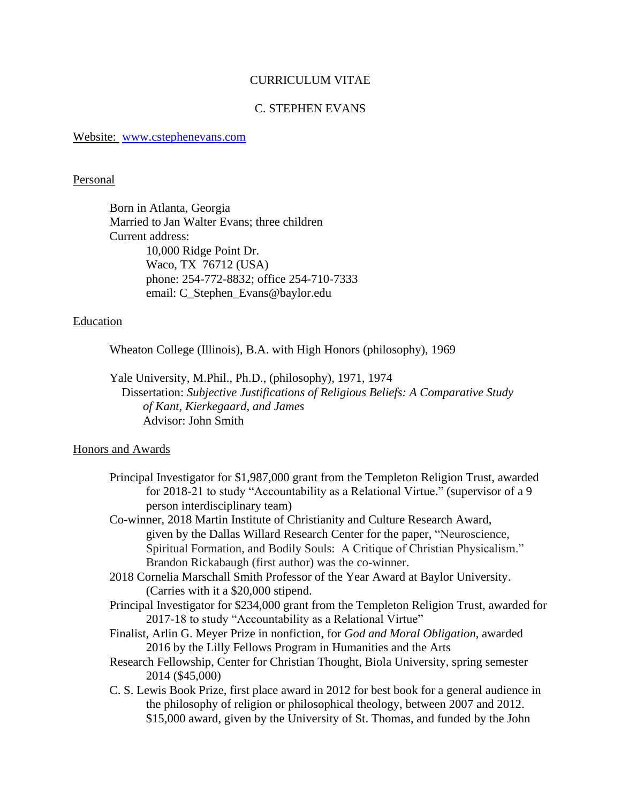# CURRICULUM VITAE

## C. STEPHEN EVANS

Website: [www.cstephenevans.com](http://www.cstephenevans.com/)

#### Personal

Born in Atlanta, Georgia Married to Jan Walter Evans; three children Current address: 10,000 Ridge Point Dr. Waco, TX 76712 (USA) phone: 254-772-8832; office 254-710-7333 email: C\_Stephen\_Evans@baylor.edu

## **Education**

Wheaton College (Illinois), B.A. with High Honors (philosophy), 1969

Yale University, M.Phil., Ph.D., (philosophy), 1971, 1974 Dissertation: *Subjective Justifications of Religious Beliefs: A Comparative Study of Kant, Kierkegaard, and James* Advisor: John Smith

#### Honors and Awards

Principal Investigator for \$1,987,000 grant from the Templeton Religion Trust, awarded for 2018-21 to study "Accountability as a Relational Virtue." (supervisor of a 9 person interdisciplinary team)

Co-winner, 2018 Martin Institute of Christianity and Culture Research Award, given by the Dallas Willard Research Center for the paper, "Neuroscience, Spiritual Formation, and Bodily Souls: A Critique of Christian Physicalism." Brandon Rickabaugh (first author) was the co-winner.

- 2018 Cornelia Marschall Smith Professor of the Year Award at Baylor University. (Carries with it a \$20,000 stipend.
- Principal Investigator for \$234,000 grant from the Templeton Religion Trust, awarded for 2017-18 to study "Accountability as a Relational Virtue"

Finalist, Arlin G. Meyer Prize in nonfiction, for *God and Moral Obligation,* awarded 2016 by the Lilly Fellows Program in Humanities and the Arts

- Research Fellowship, Center for Christian Thought, Biola University, spring semester 2014 (\$45,000)
- C. S. Lewis Book Prize, first place award in 2012 for best book for a general audience in the philosophy of religion or philosophical theology, between 2007 and 2012. \$15,000 award, given by the University of St. Thomas, and funded by the John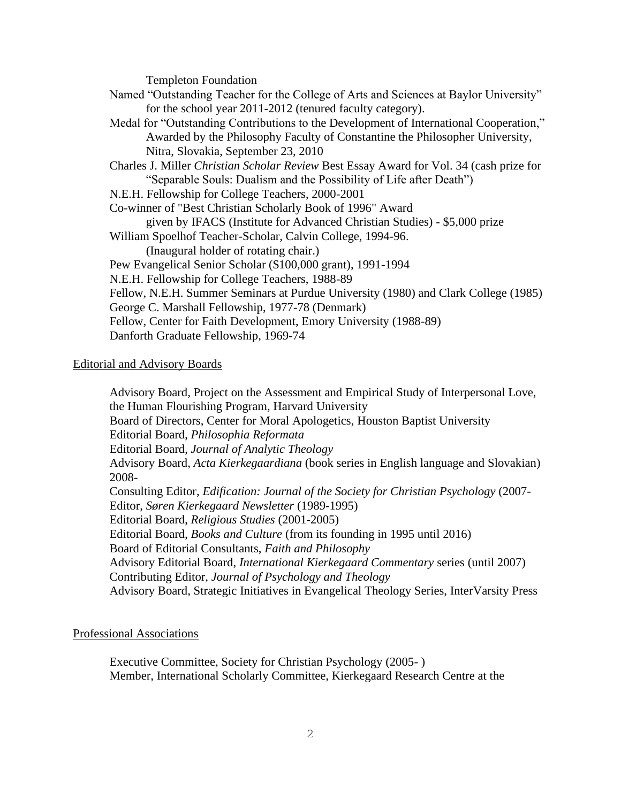Templeton Foundation

| Named "Outstanding Teacher for the College of Arts and Sciences at Baylor University"   |
|-----------------------------------------------------------------------------------------|
| for the school year 2011-2012 (tenured faculty category).                               |
| Medal for "Outstanding Contributions to the Development of International Cooperation,"  |
| Awarded by the Philosophy Faculty of Constantine the Philosopher University,            |
| Nitra, Slovakia, September 23, 2010                                                     |
| Charles J. Miller Christian Scholar Review Best Essay Award for Vol. 34 (cash prize for |
| "Separable Souls: Dualism and the Possibility of Life after Death")                     |
| N.E.H. Fellowship for College Teachers, 2000-2001                                       |
| Co-winner of "Best Christian Scholarly Book of 1996" Award                              |
| given by IFACS (Institute for Advanced Christian Studies) - \$5,000 prize               |
| William Spoelhof Teacher-Scholar, Calvin College, 1994-96.                              |
| (Inaugural holder of rotating chair.)                                                   |
| Pew Evangelical Senior Scholar (\$100,000 grant), 1991-1994                             |
| N.E.H. Fellowship for College Teachers, 1988-89                                         |
| Fellow, N.E.H. Summer Seminars at Purdue University (1980) and Clark College (1985)     |
| George C. Marshall Fellowship, 1977-78 (Denmark)                                        |
| Fellow, Center for Faith Development, Emory University (1988-89)                        |
| Danforth Graduate Fellowship, 1969-74                                                   |
|                                                                                         |

## Editorial and Advisory Boards

Advisory Board, Project on the Assessment and Empirical Study of Interpersonal Love, the Human Flourishing Program, Harvard University Board of Directors, Center for Moral Apologetics, Houston Baptist University Editorial Board, *Philosophia Reformata* Editorial Board, *Journal of Analytic Theology* Advisory Board, *Acta Kierkegaardiana* (book series in English language and Slovakian) 2008- Consulting Editor, *Edification: Journal of the Society for Christian Psychology* (2007- Editor, *Søren Kierkegaard Newsletter* (1989-1995) Editorial Board, *Religious Studies* (2001-2005) Editorial Board, *Books and Culture* (from its founding in 1995 until 2016) Board of Editorial Consultants, *Faith and Philosophy* Advisory Editorial Board, *International Kierkegaard Commentary* series (until 2007) Contributing Editor, *Journal of Psychology and Theology* Advisory Board, Strategic Initiatives in Evangelical Theology Series, InterVarsity Press

## Professional Associations

Executive Committee, Society for Christian Psychology (2005- ) Member, International Scholarly Committee, Kierkegaard Research Centre at the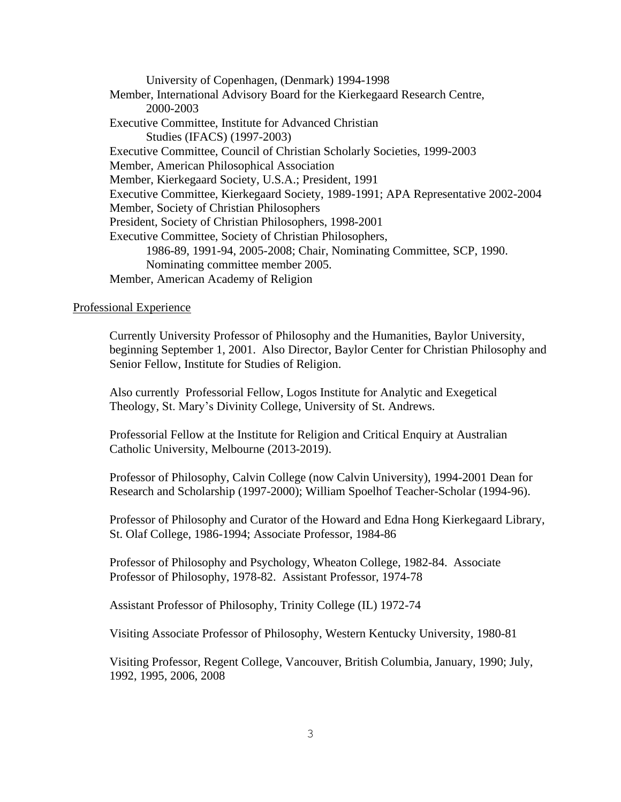University of Copenhagen, (Denmark) 1994-1998 Member, International Advisory Board for the Kierkegaard Research Centre, 2000-2003 Executive Committee, Institute for Advanced Christian Studies (IFACS) (1997-2003) Executive Committee, Council of Christian Scholarly Societies, 1999-2003 Member, American Philosophical Association Member, Kierkegaard Society, U.S.A.; President, 1991 Executive Committee, Kierkegaard Society, 1989-1991; APA Representative 2002-2004 Member, Society of Christian Philosophers President, Society of Christian Philosophers, 1998-2001 Executive Committee, Society of Christian Philosophers, 1986-89, 1991-94, 2005-2008; Chair, Nominating Committee, SCP, 1990. Nominating committee member 2005. Member, American Academy of Religion

## Professional Experience

Currently University Professor of Philosophy and the Humanities, Baylor University, beginning September 1, 2001. Also Director, Baylor Center for Christian Philosophy and Senior Fellow, Institute for Studies of Religion.

Also currently Professorial Fellow, Logos Institute for Analytic and Exegetical Theology, St. Mary's Divinity College, University of St. Andrews.

Professorial Fellow at the Institute for Religion and Critical Enquiry at Australian Catholic University, Melbourne (2013-2019).

Professor of Philosophy, Calvin College (now Calvin University), 1994-2001 Dean for Research and Scholarship (1997-2000); William Spoelhof Teacher-Scholar (1994-96).

Professor of Philosophy and Curator of the Howard and Edna Hong Kierkegaard Library, St. Olaf College, 1986-1994; Associate Professor, 1984-86

Professor of Philosophy and Psychology, Wheaton College, 1982-84. Associate Professor of Philosophy, 1978-82. Assistant Professor, 1974-78

Assistant Professor of Philosophy, Trinity College (IL) 1972-74

Visiting Associate Professor of Philosophy, Western Kentucky University, 1980-81

Visiting Professor, Regent College, Vancouver, British Columbia, January, 1990; July, 1992, 1995, 2006, 2008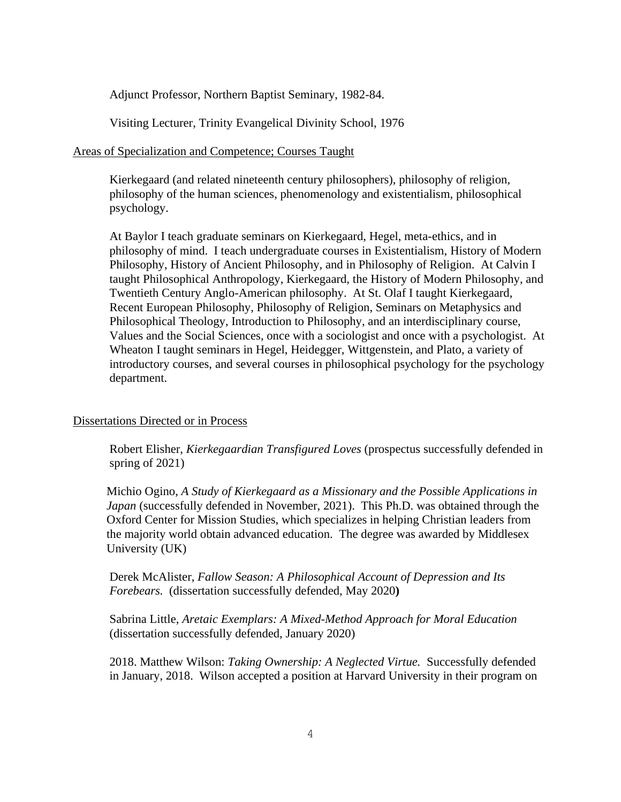Adjunct Professor, Northern Baptist Seminary, 1982-84.

Visiting Lecturer, Trinity Evangelical Divinity School, 1976

# Areas of Specialization and Competence; Courses Taught

Kierkegaard (and related nineteenth century philosophers), philosophy of religion, philosophy of the human sciences, phenomenology and existentialism, philosophical psychology.

At Baylor I teach graduate seminars on Kierkegaard, Hegel, meta-ethics, and in philosophy of mind. I teach undergraduate courses in Existentialism, History of Modern Philosophy, History of Ancient Philosophy, and in Philosophy of Religion. At Calvin I taught Philosophical Anthropology, Kierkegaard, the History of Modern Philosophy, and Twentieth Century Anglo-American philosophy. At St. Olaf I taught Kierkegaard, Recent European Philosophy, Philosophy of Religion, Seminars on Metaphysics and Philosophical Theology, Introduction to Philosophy, and an interdisciplinary course, Values and the Social Sciences, once with a sociologist and once with a psychologist. At Wheaton I taught seminars in Hegel, Heidegger, Wittgenstein, and Plato, a variety of introductory courses, and several courses in philosophical psychology for the psychology department.

# Dissertations Directed or in Process

Robert Elisher, *Kierkegaardian Transfigured Loves* (prospectus successfully defended in spring of 2021)

Michio Ogino, *A Study of Kierkegaard as a Missionary and the Possible Applications in Japan* (successfully defended in November, 2021). This Ph.D. was obtained through the Oxford Center for Mission Studies, which specializes in helping Christian leaders from the majority world obtain advanced education. The degree was awarded by Middlesex University (UK)

Derek McAlister, *Fallow Season: A Philosophical Account of Depression and Its Forebears.* (dissertation successfully defended, May 2020**)**

Sabrina Little, *Aretaic Exemplars: A Mixed-Method Approach for Moral Education*  (dissertation successfully defended, January 2020)

2018. Matthew Wilson: *Taking Ownership: A Neglected Virtue.* Successfully defended in January, 2018. Wilson accepted a position at Harvard University in their program on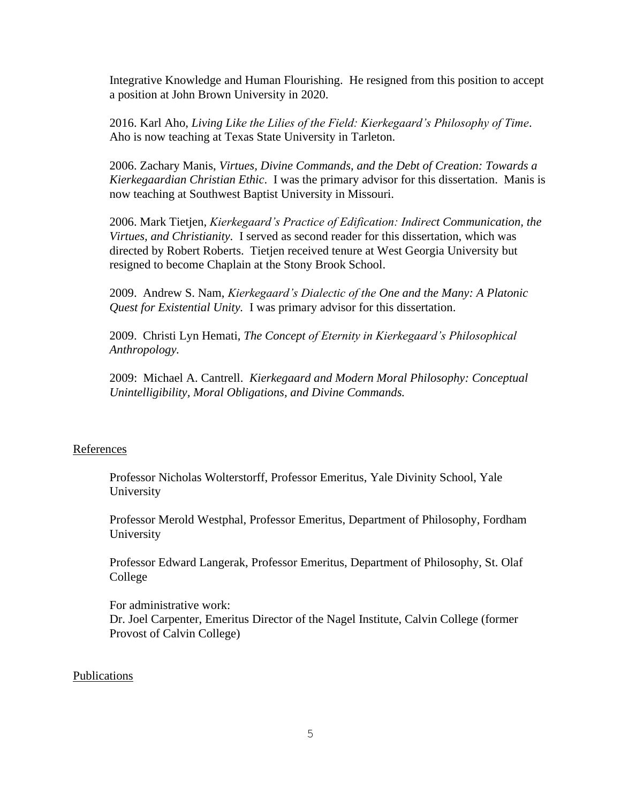Integrative Knowledge and Human Flourishing. He resigned from this position to accept a position at John Brown University in 2020.

2016. Karl Aho, *Living Like the Lilies of the Field: Kierkegaard's Philosophy of Time*. Aho is now teaching at Texas State University in Tarleton.

2006. Zachary Manis, *Virtues, Divine Commands, and the Debt of Creation: Towards a Kierkegaardian Christian Ethic*. I was the primary advisor for this dissertation. Manis is now teaching at Southwest Baptist University in Missouri.

2006. Mark Tietjen, *Kierkegaard's Practice of Edification: Indirect Communication, the Virtues, and Christianity.* I served as second reader for this dissertation, which was directed by Robert Roberts. Tietjen received tenure at West Georgia University but resigned to become Chaplain at the Stony Brook School.

2009. Andrew S. Nam, *Kierkegaard's Dialectic of the One and the Many: A Platonic Quest for Existential Unity.* I was primary advisor for this dissertation.

2009. Christi Lyn Hemati, *The Concept of Eternity in Kierkegaard's Philosophical Anthropology.*

2009: Michael A. Cantrell. *Kierkegaard and Modern Moral Philosophy: Conceptual Unintelligibility, Moral Obligations, and Divine Commands.*

## References

Professor Nicholas Wolterstorff, Professor Emeritus, Yale Divinity School, Yale University

Professor Merold Westphal, Professor Emeritus, Department of Philosophy, Fordham University

Professor Edward Langerak, Professor Emeritus, Department of Philosophy, St. Olaf College

For administrative work: Dr. Joel Carpenter, Emeritus Director of the Nagel Institute, Calvin College (former Provost of Calvin College)

#### Publications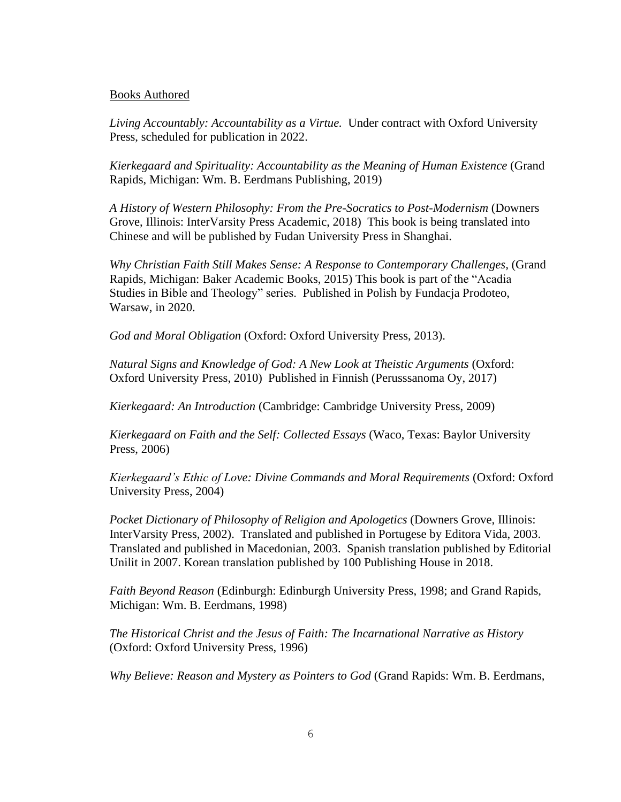### Books Authored

*Living Accountably: Accountability as a Virtue.* Under contract with Oxford University Press, scheduled for publication in 2022.

*Kierkegaard and Spirituality: Accountability as the Meaning of Human Existence* (Grand Rapids, Michigan: Wm. B. Eerdmans Publishing, 2019)

*A History of Western Philosophy: From the Pre-Socratics to Post-Modernism* (Downers Grove, Illinois: InterVarsity Press Academic, 2018) This book is being translated into Chinese and will be published by Fudan University Press in Shanghai.

*Why Christian Faith Still Makes Sense: A Response to Contemporary Challenges,* (Grand Rapids, Michigan: Baker Academic Books, 2015) This book is part of the "Acadia Studies in Bible and Theology" series. Published in Polish by Fundacja Prodoteo, Warsaw, in 2020.

*God and Moral Obligation* (Oxford: Oxford University Press, 2013).

*Natural Signs and Knowledge of God: A New Look at Theistic Arguments* (Oxford: Oxford University Press, 2010) Published in Finnish (Perusssanoma Oy, 2017)

*Kierkegaard: An Introduction* (Cambridge: Cambridge University Press, 2009)

*Kierkegaard on Faith and the Self: Collected Essays* (Waco, Texas: Baylor University Press, 2006)

*Kierkegaard's Ethic of Love: Divine Commands and Moral Requirements* (Oxford: Oxford University Press, 2004)

*Pocket Dictionary of Philosophy of Religion and Apologetics* (Downers Grove, Illinois: InterVarsity Press, 2002). Translated and published in Portugese by Editora Vida, 2003. Translated and published in Macedonian, 2003. Spanish translation published by Editorial Unilit in 2007. Korean translation published by 100 Publishing House in 2018.

*Faith Beyond Reason* (Edinburgh: Edinburgh University Press, 1998; and Grand Rapids, Michigan: Wm. B. Eerdmans, 1998)

*The Historical Christ and the Jesus of Faith: The Incarnational Narrative as History* (Oxford: Oxford University Press, 1996)

*Why Believe: Reason and Mystery as Pointers to God* (Grand Rapids: Wm. B. Eerdmans,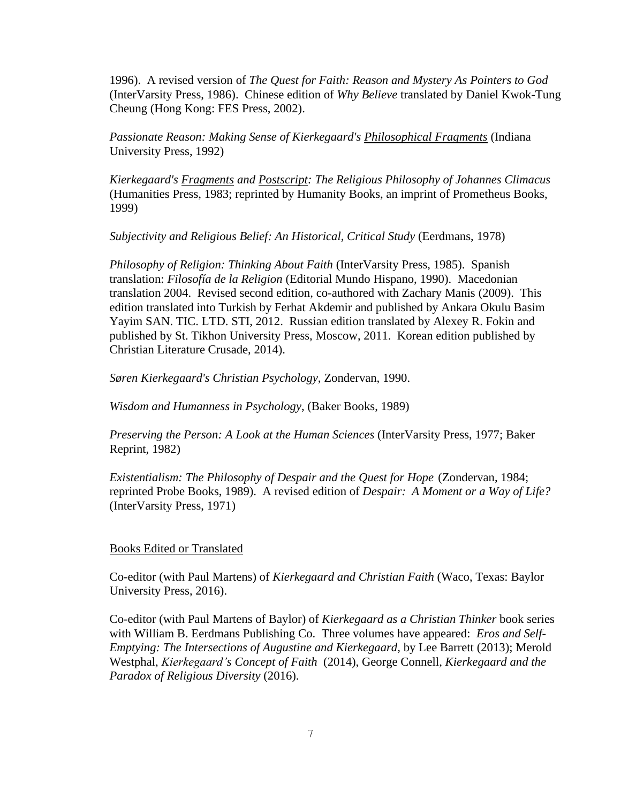1996). A revised version of *The Quest for Faith: Reason and Mystery As Pointers to God* (InterVarsity Press, 1986). Chinese edition of *Why Believe* translated by Daniel Kwok-Tung Cheung (Hong Kong: FES Press, 2002).

*Passionate Reason: Making Sense of Kierkegaard's Philosophical Fragments* (Indiana University Press, 1992)

*Kierkegaard's Fragments and Postscript: The Religious Philosophy of Johannes Climacus* (Humanities Press, 1983; reprinted by Humanity Books, an imprint of Prometheus Books, 1999)

*Subjectivity and Religious Belief: An Historical, Critical Study* (Eerdmans, 1978)

*Philosophy of Religion: Thinking About Faith* (InterVarsity Press, 1985). Spanish translation: *Filosofía de la Religion* (Editorial Mundo Hispano, 1990). Macedonian translation 2004. Revised second edition, co-authored with Zachary Manis (2009). This edition translated into Turkish by Ferhat Akdemir and published by Ankara Okulu Basim Yayim SAN. TIC. LTD. STI, 2012. Russian edition translated by Alexey R. Fokin and published by St. Tikhon University Press, Moscow, 2011. Korean edition published by Christian Literature Crusade, 2014).

*Søren Kierkegaard's Christian Psychology*, Zondervan, 1990.

*Wisdom and Humanness in Psychology*, (Baker Books, 1989)

*Preserving the Person: A Look at the Human Sciences* (InterVarsity Press, 1977; Baker Reprint, 1982)

*Existentialism: The Philosophy of Despair and the Quest for Hope* (Zondervan, 1984; reprinted Probe Books, 1989). A revised edition of *Despair: A Moment or a Way of Life?* (InterVarsity Press, 1971)

#### Books Edited or Translated

Co-editor (with Paul Martens) of *Kierkegaard and Christian Faith* (Waco, Texas: Baylor University Press, 2016).

Co-editor (with Paul Martens of Baylor) of *Kierkegaard as a Christian Thinker* book series with William B. Eerdmans Publishing Co. Three volumes have appeared: *Eros and Self-Emptying: The Intersections of Augustine and Kierkegaard,* by Lee Barrett (2013); Merold Westphal, *Kierkegaard's Concept of Faith* (2014), George Connell, *Kierkegaard and the Paradox of Religious Diversity* (2016).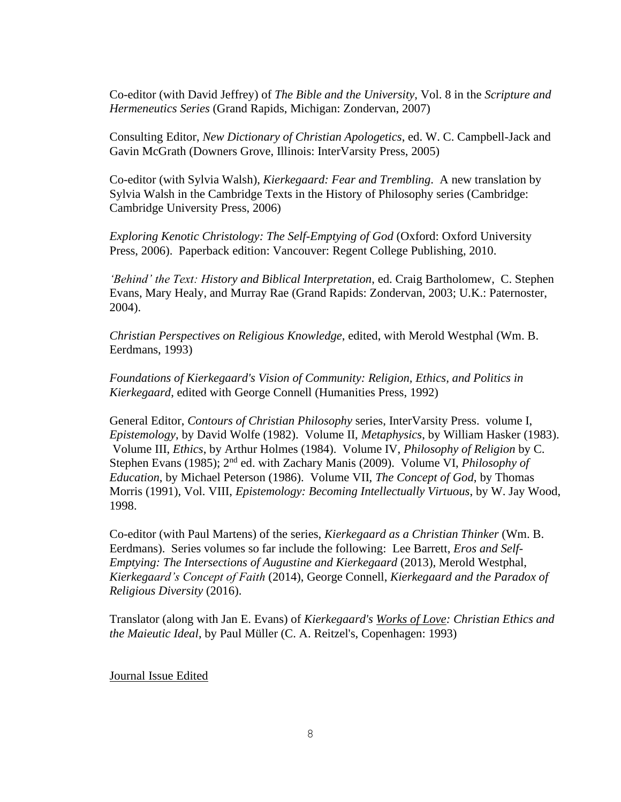Co-editor (with David Jeffrey) of *The Bible and the University*, Vol. 8 in the *Scripture and Hermeneutics Series* (Grand Rapids, Michigan: Zondervan, 2007)

Consulting Editor, *New Dictionary of Christian Apologetics*, ed. W. C. Campbell-Jack and Gavin McGrath (Downers Grove, Illinois: InterVarsity Press, 2005)

Co-editor (with Sylvia Walsh), *Kierkegaard: Fear and Trembling*. A new translation by Sylvia Walsh in the Cambridge Texts in the History of Philosophy series (Cambridge: Cambridge University Press, 2006)

*Exploring Kenotic Christology: The Self-Emptying of God* (Oxford: Oxford University Press, 2006). Paperback edition: Vancouver: Regent College Publishing, 2010.

*'Behind' the Text: History and Biblical Interpretation*, ed. Craig Bartholomew, C. Stephen Evans, Mary Healy, and Murray Rae (Grand Rapids: Zondervan, 2003; U.K.: Paternoster, 2004).

*Christian Perspectives on Religious Knowledge*, edited, with Merold Westphal (Wm. B. Eerdmans, 1993)

*Foundations of Kierkegaard's Vision of Community: Religion, Ethics, and Politics in Kierkegaard*, edited with George Connell (Humanities Press, 1992)

General Editor, *Contours of Christian Philosophy* series, InterVarsity Press. volume I, *Epistemology*, by David Wolfe (1982). Volume II, *Metaphysics*, by William Hasker (1983). Volume III, *Ethics*, by Arthur Holmes (1984). Volume IV, *Philosophy of Religion* by C. Stephen Evans (1985); 2<sup>nd</sup> ed. with Zachary Manis (2009). Volume VI, *Philosophy of Education*, by Michael Peterson (1986). Volume VII, *The Concept of God*, by Thomas Morris (1991), Vol. VIII, *Epistemology: Becoming Intellectually Virtuous*, by W. Jay Wood, 1998.

Co-editor (with Paul Martens) of the series, *Kierkegaard as a Christian Thinker* (Wm. B. Eerdmans). Series volumes so far include the following: Lee Barrett, *Eros and Self-Emptying: The Intersections of Augustine and Kierkegaard* (2013), Merold Westphal, *Kierkegaard's Concept of Faith* (2014), George Connell, *Kierkegaard and the Paradox of Religious Diversity* (2016).

Translator (along with Jan E. Evans) of *Kierkegaard's Works of Love: Christian Ethics and the Maieutic Ideal*, by Paul Müller (C. A. Reitzel's, Copenhagen: 1993)

Journal Issue Edited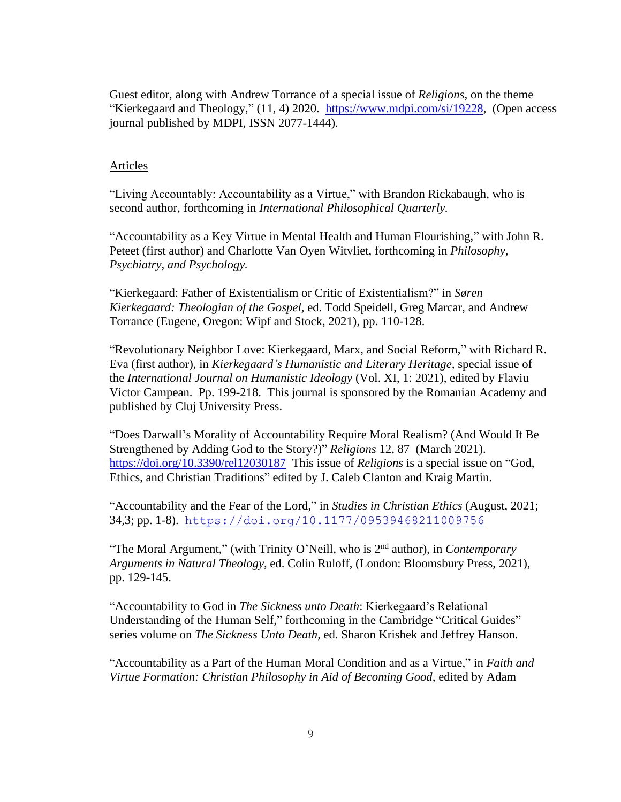Guest editor, along with Andrew Torrance of a special issue of *Religions,* on the theme "Kierkegaard and Theology," (11, 4) 2020. [https://www.mdpi.com/si/19228,](https://www.mdpi.com/si/19228) (Open access journal published by MDPI, ISSN 2077-1444)*.* 

# Articles

"Living Accountably: Accountability as a Virtue," with Brandon Rickabaugh, who is second author, forthcoming in *International Philosophical Quarterly.* 

"Accountability as a Key Virtue in Mental Health and Human Flourishing," with John R. Peteet (first author) and Charlotte Van Oyen Witvliet, forthcoming in *Philosophy, Psychiatry, and Psychology.*

"Kierkegaard: Father of Existentialism or Critic of Existentialism?" in *Søren Kierkegaard: Theologian of the Gospel,* ed. Todd Speidell, Greg Marcar, and Andrew Torrance (Eugene, Oregon: Wipf and Stock, 2021), pp. 110-128.

"Revolutionary Neighbor Love: Kierkegaard, Marx, and Social Reform," with Richard R. Eva (first author), in *Kierkegaard's Humanistic and Literary Heritage,* special issue of the *International Journal on Humanistic Ideology* (Vol. XI, 1: 2021), edited by Flaviu Victor Campean. Pp. 199-218. This journal is sponsored by the Romanian Academy and published by Cluj University Press.

"Does Darwall's Morality of Accountability Require Moral Realism? (And Would It Be Strengthened by Adding God to the Story?)" *Religions* 12, 87 (March 2021). <https://doi.org/10.3390/rel12030187>This issue of *Religions* is a special issue on "God, Ethics, and Christian Traditions" edited by J. Caleb Clanton and Kraig Martin.

"Accountability and the Fear of the Lord," in *Studies in Christian Ethics* (August, 2021; 34*,*3; pp. 1-8). <https://doi.org/10.1177/09539468211009756>

"The Moral Argument," (with Trinity O'Neill, who is 2nd author), in *Contemporary Arguments in Natural Theology,* ed. Colin Ruloff, (London: Bloomsbury Press, 2021), pp. 129-145.

"Accountability to God in *The Sickness unto Death*: Kierkegaard's Relational Understanding of the Human Self," forthcoming in the Cambridge "Critical Guides" series volume on *The Sickness Unto Death,* ed. Sharon Krishek and Jeffrey Hanson.

"Accountability as a Part of the Human Moral Condition and as a Virtue," in *Faith and Virtue Formation: Christian Philosophy in Aid of Becoming Good,* edited by Adam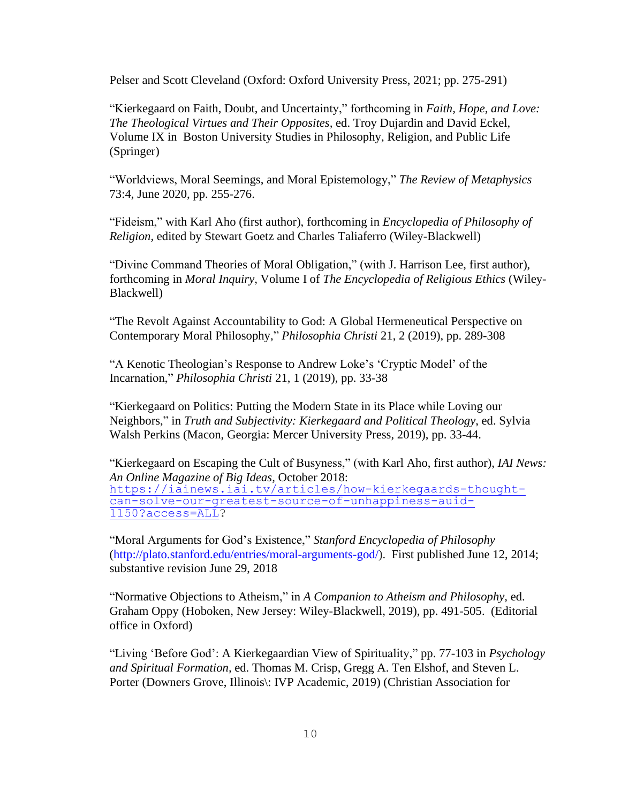Pelser and Scott Cleveland (Oxford: Oxford University Press, 2021; pp. 275-291)

"Kierkegaard on Faith, Doubt, and Uncertainty," forthcoming in *Faith, Hope, and Love: The Theological Virtues and Their Opposites,* ed. Troy Dujardin and David Eckel, Volume IX in Boston University Studies in Philosophy, Religion, and Public Life (Springer)

"Worldviews, Moral Seemings, and Moral Epistemology," *The Review of Metaphysics* 73:4, June 2020, pp. 255-276.

"Fideism," with Karl Aho (first author), forthcoming in *Encyclopedia of Philosophy of Religion,* edited by Stewart Goetz and Charles Taliaferro (Wiley-Blackwell)

"Divine Command Theories of Moral Obligation," (with J. Harrison Lee, first author), forthcoming in *Moral Inquiry,* Volume I of *The Encyclopedia of Religious Ethics* (Wiley-Blackwell)

"The Revolt Against Accountability to God: A Global Hermeneutical Perspective on Contemporary Moral Philosophy," *Philosophia Christi* 21, 2 (2019), pp. 289-308

"A Kenotic Theologian's Response to Andrew Loke's 'Cryptic Model' of the Incarnation," *Philosophia Christi* 21, 1 (2019), pp. 33-38

"Kierkegaard on Politics: Putting the Modern State in its Place while Loving our Neighbors," in *Truth and Subjectivity: Kierkegaard and Political Theology*, ed. Sylvia Walsh Perkins (Macon, Georgia: Mercer University Press, 2019), pp. 33-44.

"Kierkegaard on Escaping the Cult of Busyness," (with Karl Aho, first author), *IAI News: An Online Magazine of Big Ideas,* October 2018: [https://iainews.iai.tv/articles/how-kierkegaards-thought](https://na01.safelinks.protection.outlook.com/?url=https%3A%2F%2Fiainews.iai.tv%2Farticles%2Fhow-kierkegaards-thought-can-solve-our-greatest-source-of-unhappiness-auid-1150%3Faccess%3DALL&data=01%7C01%7CC_Stephen_Evans%40baylor.edu%7C69fbfd70506944c6cc9308d62946cf20%7C22d2fb35256a459bbcf4dc23d42dc0a4%7C1&sdata=Q20vZFtBmvhVbYf10U24Z5CbwHnCntSB37PmcY9WjYc%3D&reserved=0)[can-solve-our-greatest-source-of-unhappiness-auid-](https://na01.safelinks.protection.outlook.com/?url=https%3A%2F%2Fiainews.iai.tv%2Farticles%2Fhow-kierkegaards-thought-can-solve-our-greatest-source-of-unhappiness-auid-1150%3Faccess%3DALL&data=01%7C01%7CC_Stephen_Evans%40baylor.edu%7C69fbfd70506944c6cc9308d62946cf20%7C22d2fb35256a459bbcf4dc23d42dc0a4%7C1&sdata=Q20vZFtBmvhVbYf10U24Z5CbwHnCntSB37PmcY9WjYc%3D&reserved=0)[1150?access=ALL?](https://na01.safelinks.protection.outlook.com/?url=https%3A%2F%2Fiainews.iai.tv%2Farticles%2Fhow-kierkegaards-thought-can-solve-our-greatest-source-of-unhappiness-auid-1150%3Faccess%3DALL&data=01%7C01%7CC_Stephen_Evans%40baylor.edu%7C69fbfd70506944c6cc9308d62946cf20%7C22d2fb35256a459bbcf4dc23d42dc0a4%7C1&sdata=Q20vZFtBmvhVbYf10U24Z5CbwHnCntSB37PmcY9WjYc%3D&reserved=0)

"Moral Arguments for God's Existence," *Stanford Encyclopedia of Philosophy*  [\(http://plato.stanford.edu/entries/moral-arguments-god/\)](http://plato.stanford.edu/entries/moral-arguments-god/). First published June 12, 2014; substantive revision June 29, 2018

"Normative Objections to Atheism," in *A Companion to Atheism and Philosophy,* ed. Graham Oppy (Hoboken, New Jersey: Wiley-Blackwell, 2019), pp. 491-505. (Editorial office in Oxford)

"Living 'Before God': A Kierkegaardian View of Spirituality," pp. 77-103 in *Psychology and Spiritual Formation,* ed. Thomas M. Crisp, Gregg A. Ten Elshof, and Steven L. Porter (Downers Grove, Illinois\: IVP Academic, 2019) (Christian Association for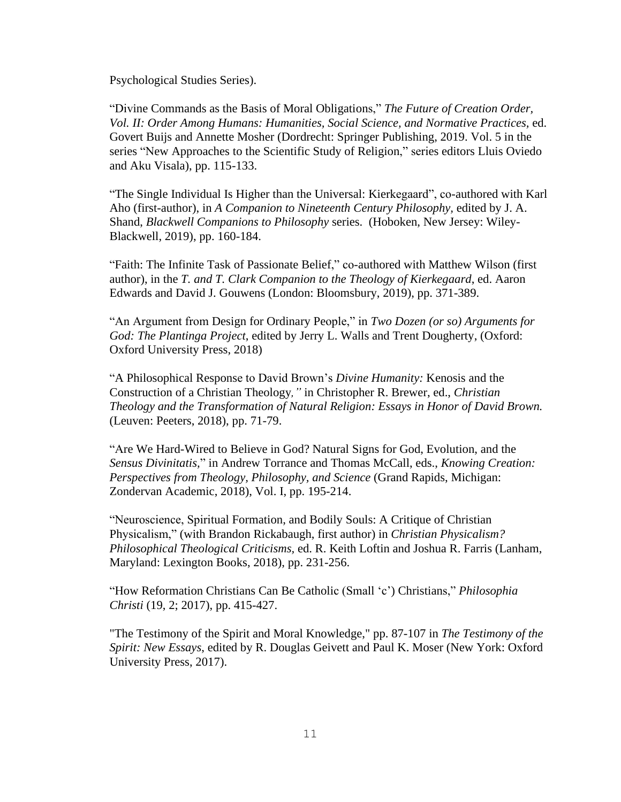Psychological Studies Series).

"Divine Commands as the Basis of Moral Obligations," *The Future of Creation Order, Vol. II: Order Among Humans: Humanities, Social Science, and Normative Practices,* ed. Govert Buijs and Annette Mosher (Dordrecht: Springer Publishing, 2019. Vol. 5 in the series "New Approaches to the Scientific Study of Religion," series editors Lluis Oviedo and Aku Visala), pp. 115-133.

"The Single Individual Is Higher than the Universal: Kierkegaard", co-authored with Karl Aho (first-author), in *A Companion to Nineteenth Century Philosophy,* edited by J. A. Shand, *Blackwell Companions to Philosophy* series. (Hoboken, New Jersey: Wiley-Blackwell, 2019), pp. 160-184.

"Faith: The Infinite Task of Passionate Belief," co-authored with Matthew Wilson (first author), in the *T. and T. Clark Companion to the Theology of Kierkegaard*, ed. Aaron Edwards and David J. Gouwens (London: Bloomsbury, 2019), pp. 371-389.

"An Argument from Design for Ordinary People," in *Two Dozen (or so) Arguments for God: The Plantinga Project*, edited by Jerry L. Walls and Trent Dougherty, (Oxford: Oxford University Press, 2018)

"A Philosophical Response to David Brown's *Divine Humanity:* Kenosis and the Construction of a Christian Theology*,"* in Christopher R. Brewer, ed., *Christian Theology and the Transformation of Natural Religion: Essays in Honor of David Brown.*  (Leuven: Peeters, 2018), pp. 71-79.

"Are We Hard-Wired to Believe in God? Natural Signs for God, Evolution, and the *Sensus Divinitatis,*" in Andrew Torrance and Thomas McCall, eds., *Knowing Creation: Perspectives from Theology, Philosophy, and Science* (Grand Rapids, Michigan: Zondervan Academic, 2018), Vol. I, pp. 195-214.

"Neuroscience, Spiritual Formation, and Bodily Souls: A Critique of Christian Physicalism," (with Brandon Rickabaugh, first author) in *Christian Physicalism? Philosophical Theological Criticisms,* ed. R. Keith Loftin and Joshua R. Farris (Lanham, Maryland: Lexington Books, 2018), pp. 231-256.

"How Reformation Christians Can Be Catholic (Small 'c') Christians," *Philosophia Christi* (19, 2; 2017), pp. 415-427.

"The Testimony of the Spirit and Moral Knowledge," pp. 87-107 in *The Testimony of the Spirit: New Essays*, edited by R. Douglas Geivett and Paul K. Moser (New York: Oxford University Press, 2017).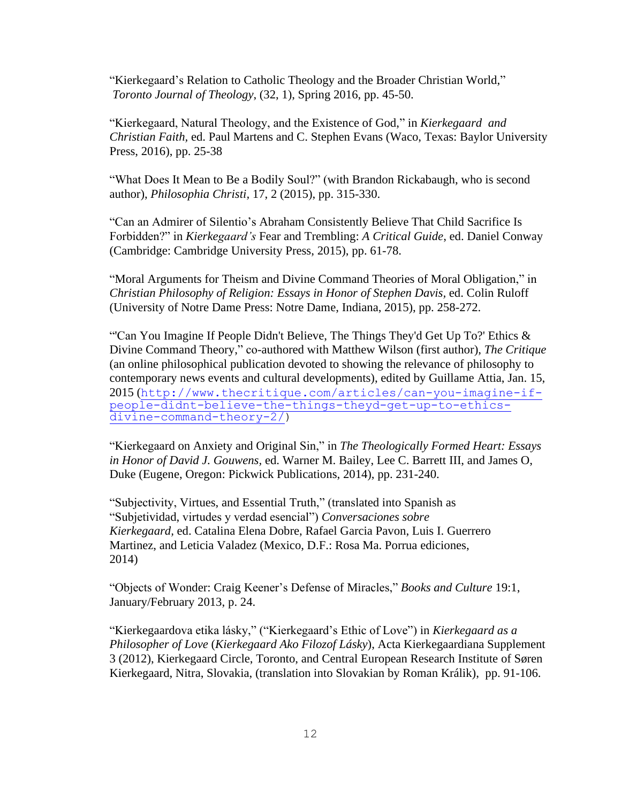"Kierkegaard's Relation to Catholic Theology and the Broader Christian World," *Toronto Journal of Theology*, (32, 1), Spring 2016, pp. 45-50.

"Kierkegaard, Natural Theology, and the Existence of God," in *Kierkegaard and Christian Faith,* ed. Paul Martens and C. Stephen Evans (Waco, Texas: Baylor University Press, 2016), pp. 25-38

"What Does It Mean to Be a Bodily Soul?" (with Brandon Rickabaugh, who is second author), *Philosophia Christi,* 17, 2 (2015), pp. 315-330.

"Can an Admirer of Silentio's Abraham Consistently Believe That Child Sacrifice Is Forbidden?" in *Kierkegaard's* Fear and Trembling: *A Critical Guide*, ed. Daniel Conway (Cambridge: Cambridge University Press, 2015), pp. 61-78.

"Moral Arguments for Theism and Divine Command Theories of Moral Obligation," in *Christian Philosophy of Religion: Essays in Honor of Stephen Davis,* ed. Colin Ruloff (University of Notre Dame Press: Notre Dame, Indiana, 2015), pp. 258-272.

"'Can You Imagine If People Didn't Believe, The Things They'd Get Up To?' Ethics  $\&$ Divine Command Theory," co-authored with Matthew Wilson (first author), *The Critique* (an online philosophical publication devoted to showing the relevance of philosophy to contemporary news events and cultural developments), edited by Guillame Attia, Jan. 15, 2015 ([http://www.thecritique.com/articles/can-you-imagine-if](http://www.thecritique.com/articles/can-you-imagine-if-people-didnt-believe-the-things-theyd-get-up-to-ethics-divine-command-theory-2/)[people-didnt-believe-the-things-theyd-get-up-to-ethics](http://www.thecritique.com/articles/can-you-imagine-if-people-didnt-believe-the-things-theyd-get-up-to-ethics-divine-command-theory-2/)[divine-command-theory-2/\)](http://www.thecritique.com/articles/can-you-imagine-if-people-didnt-believe-the-things-theyd-get-up-to-ethics-divine-command-theory-2/)

"Kierkegaard on Anxiety and Original Sin," in *The Theologically Formed Heart: Essays in Honor of David J. Gouwens,* ed. Warner M. Bailey, Lee C. Barrett III, and James O, Duke (Eugene, Oregon: Pickwick Publications, 2014), pp. 231-240.

"Subjectivity, Virtues, and Essential Truth," (translated into Spanish as "Subjetividad, virtudes y verdad esencial") *Conversaciones sobre Kierkegaard,* ed. Catalina Elena Dobre, Rafael Garcia Pavon, Luis I. Guerrero Martinez, and Leticia Valadez (Mexico, D.F.: Rosa Ma. Porrua ediciones, 2014)

"Objects of Wonder: Craig Keener's Defense of Miracles," *Books and Culture* 19:1, January/February 2013, p. 24.

"Kierkegaardova etika lásky," ("Kierkegaard's Ethic of Love") in *Kierkegaard as a Philosopher of Love* (*Kierkegaard Ako Filozof Lásky*), Acta Kierkegaardiana Supplement 3 (2012), Kierkegaard Circle, Toronto, and Central European Research Institute of Søren Kierkegaard, Nitra, Slovakia, (translation into Slovakian by Roman Králik), pp. 91-106.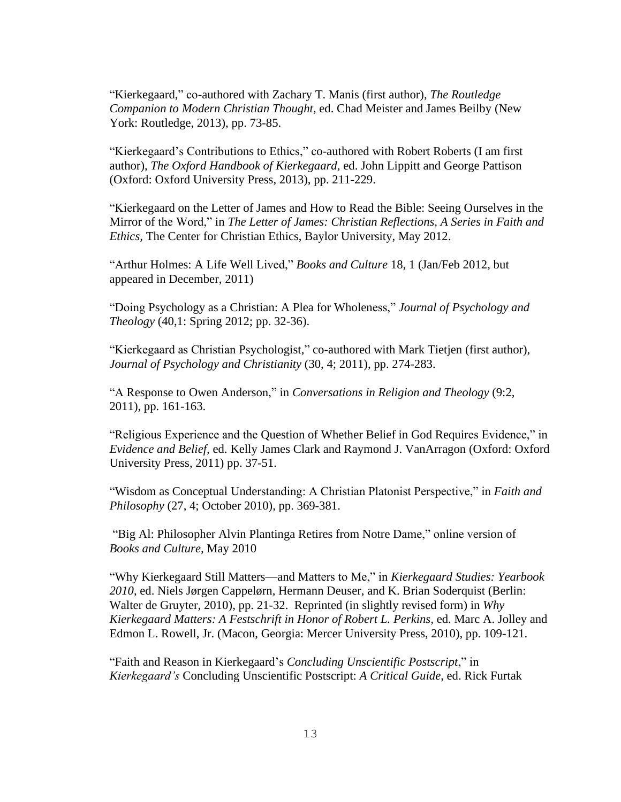"Kierkegaard," co-authored with Zachary T. Manis (first author), *The Routledge Companion to Modern Christian Thought,* ed. Chad Meister and James Beilby (New York: Routledge, 2013), pp. 73-85.

"Kierkegaard's Contributions to Ethics," co-authored with Robert Roberts (I am first author), *The Oxford Handbook of Kierkegaard,* ed. John Lippitt and George Pattison (Oxford: Oxford University Press, 2013), pp. 211-229.

"Kierkegaard on the Letter of James and How to Read the Bible: Seeing Ourselves in the Mirror of the Word," in *The Letter of James: Christian Reflections, A Series in Faith and Ethics,* The Center for Christian Ethics, Baylor University, May 2012.

"Arthur Holmes: A Life Well Lived," *Books and Culture* 18, 1 (Jan/Feb 2012, but appeared in December, 2011)

"Doing Psychology as a Christian: A Plea for Wholeness," *Journal of Psychology and Theology* (40,1: Spring 2012; pp. 32-36).

"Kierkegaard as Christian Psychologist," co-authored with Mark Tietjen (first author), *Journal of Psychology and Christianity* (30, 4; 2011), pp. 274-283.

"A Response to Owen Anderson," in *Conversations in Religion and Theology* (9:2, 2011), pp. 161-163.

"Religious Experience and the Question of Whether Belief in God Requires Evidence," in *Evidence and Belief,* ed. Kelly James Clark and Raymond J. VanArragon (Oxford: Oxford University Press, 2011) pp. 37-51.

"Wisdom as Conceptual Understanding: A Christian Platonist Perspective," in *Faith and Philosophy* (27, 4; October 2010), pp. 369-381.

"Big Al: Philosopher Alvin Plantinga Retires from Notre Dame," online version of *Books and Culture,* May 2010

"Why Kierkegaard Still Matters—and Matters to Me," in *Kierkegaard Studies: Yearbook 2010*, ed. Niels Jørgen Cappelørn, Hermann Deuser, and K. Brian Soderquist (Berlin: Walter de Gruyter, 2010), pp. 21-32. Reprinted (in slightly revised form) in *Why Kierkegaard Matters: A Festschrift in Honor of Robert L. Perkins,* ed. Marc A. Jolley and Edmon L. Rowell, Jr. (Macon, Georgia: Mercer University Press, 2010), pp. 109-121.

"Faith and Reason in Kierkegaard's *Concluding Unscientific Postscript*," in *Kierkegaard's* Concluding Unscientific Postscript: *A Critical Guide*, ed. Rick Furtak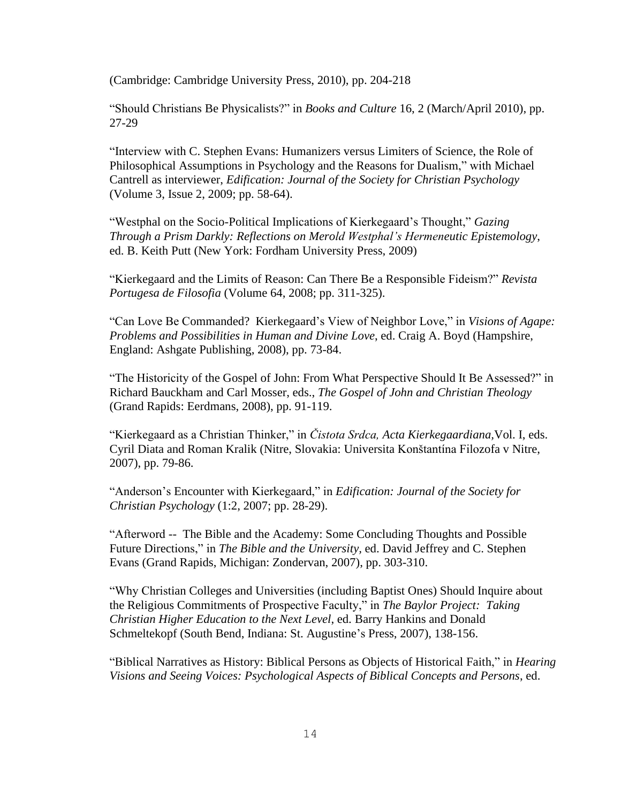(Cambridge: Cambridge University Press, 2010), pp. 204-218

"Should Christians Be Physicalists?" in *Books and Culture* 16, 2 (March/April 2010), pp. 27-29

"Interview with C. Stephen Evans: Humanizers versus Limiters of Science, the Role of Philosophical Assumptions in Psychology and the Reasons for Dualism," with Michael Cantrell as interviewer, *Edification: Journal of the Society for Christian Psychology* (Volume 3, Issue 2, 2009; pp. 58-64).

"Westphal on the Socio-Political Implications of Kierkegaard's Thought," *Gazing Through a Prism Darkly: Reflections on Merold Westphal's Hermeneutic Epistemology*, ed. B. Keith Putt (New York: Fordham University Press, 2009)

"Kierkegaard and the Limits of Reason: Can There Be a Responsible Fideism?" *Revista Portugesa de Filosofia* (Volume 64, 2008; pp. 311-325).

"Can Love Be Commanded? Kierkegaard's View of Neighbor Love," in *Visions of Agape: Problems and Possibilities in Human and Divine Love*, ed. Craig A. Boyd (Hampshire, England: Ashgate Publishing, 2008), pp. 73-84.

"The Historicity of the Gospel of John: From What Perspective Should It Be Assessed?" in Richard Bauckham and Carl Mosser, eds., *The Gospel of John and Christian Theology* (Grand Rapids: Eerdmans, 2008), pp. 91-119.

"Kierkegaard as a Christian Thinker," in *Čistota Srdca, Acta Kierkegaardiana,*Vol. I, eds. Cyril Diata and Roman Kralik (Nitre, Slovakia: Universita Konštantína Filozofa v Nitre, 2007), pp. 79-86.

"Anderson's Encounter with Kierkegaard," in *Edification: Journal of the Society for Christian Psychology* (1:2, 2007; pp. 28-29).

"Afterword -- The Bible and the Academy: Some Concluding Thoughts and Possible Future Directions," in *The Bible and the University,* ed. David Jeffrey and C. Stephen Evans (Grand Rapids, Michigan: Zondervan, 2007), pp. 303-310.

"Why Christian Colleges and Universities (including Baptist Ones) Should Inquire about the Religious Commitments of Prospective Faculty," in *The Baylor Project: Taking Christian Higher Education to the Next Level*, ed. Barry Hankins and Donald Schmeltekopf (South Bend, Indiana: St. Augustine's Press, 2007), 138-156.

"Biblical Narratives as History: Biblical Persons as Objects of Historical Faith," in *Hearing Visions and Seeing Voices: Psychological Aspects of Biblical Concepts and Persons*, ed.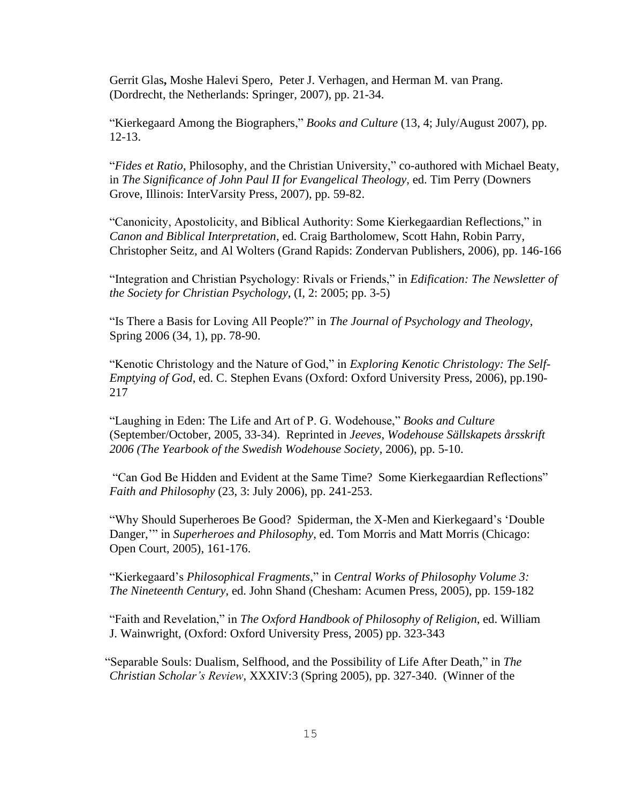Gerrit Glas**,** Moshe Halevi Spero, Peter J. Verhagen, and Herman M. van Prang. (Dordrecht, the Netherlands: Springer, 2007), pp. 21-34.

"Kierkegaard Among the Biographers," *Books and Culture* (13, 4; July/August 2007), pp. 12-13.

"*Fides et Ratio*, Philosophy, and the Christian University," co-authored with Michael Beaty, in *The Significance of John Paul II for Evangelical Theology*, ed. Tim Perry (Downers Grove, Illinois: InterVarsity Press, 2007), pp. 59-82.

"Canonicity, Apostolicity, and Biblical Authority: Some Kierkegaardian Reflections," in *Canon and Biblical Interpretation*, ed. Craig Bartholomew, Scott Hahn, Robin Parry, Christopher Seitz, and Al Wolters (Grand Rapids: Zondervan Publishers, 2006), pp. 146-166

"Integration and Christian Psychology: Rivals or Friends," in *Edification: The Newsletter of the Society for Christian Psychology*, (I, 2: 2005; pp. 3-5)

"Is There a Basis for Loving All People?" in *The Journal of Psychology and Theology*, Spring 2006 (34, 1), pp. 78-90.

"Kenotic Christology and the Nature of God," in *Exploring Kenotic Christology: The Self-Emptying of God*, ed. C. Stephen Evans (Oxford: Oxford University Press, 2006), pp.190- 217

"Laughing in Eden: The Life and Art of P. G. Wodehouse," *Books and Culture* (September/October, 2005, 33-34). Reprinted in *Jeeves*, *Wodehouse Sällskapets årsskrift 2006 (The Yearbook of the Swedish Wodehouse Society*, 2006), pp. 5-10.

"Can God Be Hidden and Evident at the Same Time? Some Kierkegaardian Reflections" *Faith and Philosophy* (23, 3: July 2006), pp. 241-253.

"Why Should Superheroes Be Good? Spiderman, the X-Men and Kierkegaard's 'Double Danger,'" in *Superheroes and Philosophy*, ed. Tom Morris and Matt Morris (Chicago: Open Court, 2005), 161-176.

"Kierkegaard's *Philosophical Fragments*," in *Central Works of Philosophy Volume 3: The Nineteenth Century*, ed. John Shand (Chesham: Acumen Press, 2005), pp. 159-182

"Faith and Revelation," in *The Oxford Handbook of Philosophy of Religion*, ed. William J. Wainwright, (Oxford: Oxford University Press, 2005) pp. 323-343

 "Separable Souls: Dualism, Selfhood, and the Possibility of Life After Death," in *The Christian Scholar's Review*, XXXIV:3 (Spring 2005), pp. 327-340. (Winner of the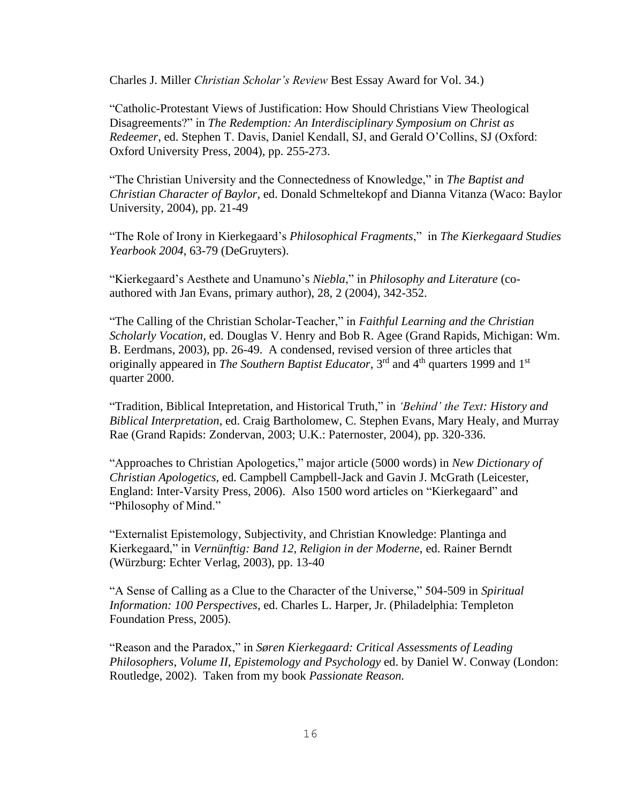Charles J. Miller *Christian Scholar's Review* Best Essay Award for Vol. 34.)

"Catholic-Protestant Views of Justification: How Should Christians View Theological Disagreements?" in *The Redemption: An Interdisciplinary Symposium on Christ as Redeemer*, ed. Stephen T. Davis, Daniel Kendall, SJ, and Gerald O'Collins, SJ (Oxford: Oxford University Press, 2004), pp. 255-273.

"The Christian University and the Connectedness of Knowledge," in *The Baptist and Christian Character of Baylor*, ed. Donald Schmeltekopf and Dianna Vitanza (Waco: Baylor University, 2004), pp. 21-49

"The Role of Irony in Kierkegaard's *Philosophical Fragments*," in *The Kierkegaard Studies Yearbook 2004*, 63-79 (DeGruyters).

"Kierkegaard's Aesthete and Unamuno's *Niebla*," in *Philosophy and Literature* (coauthored with Jan Evans, primary author), 28, 2 (2004), 342-352.

"The Calling of the Christian Scholar-Teacher," in *Faithful Learning and the Christian Scholarly Vocation*, ed. Douglas V. Henry and Bob R. Agee (Grand Rapids, Michigan: Wm. B. Eerdmans, 2003), pp. 26-49. A condensed, revised version of three articles that originally appeared in *The Southern Baptist Educator*, 3<sup>rd</sup> and 4<sup>th</sup> quarters 1999 and 1<sup>st</sup> quarter 2000.

"Tradition, Biblical Intepretation, and Historical Truth," in *'Behind' the Text: History and Biblical Interpretation*, ed. Craig Bartholomew, C. Stephen Evans, Mary Healy, and Murray Rae (Grand Rapids: Zondervan, 2003; U.K.: Paternoster, 2004), pp. 320-336.

"Approaches to Christian Apologetics," major article (5000 words) in *New Dictionary of Christian Apologetics*, ed. Campbell Campbell-Jack and Gavin J. McGrath (Leicester, England: Inter-Varsity Press, 2006). Also 1500 word articles on "Kierkegaard" and "Philosophy of Mind."

"Externalist Epistemology, Subjectivity, and Christian Knowledge: Plantinga and Kierkegaard," in *Vernünftig: Band 12, Religion in der Moderne*, ed. Rainer Berndt (Würzburg: Echter Verlag, 2003), pp. 13-40

"A Sense of Calling as a Clue to the Character of the Universe," 504-509 in *Spiritual Information: 100 Perspectives*, ed. Charles L. Harper, Jr. (Philadelphia: Templeton Foundation Press, 2005).

"Reason and the Paradox," in *Søren Kierkegaard: Critical Assessments of Leading Philosophers*, *Volume II, Epistemology and Psychology* ed. by Daniel W. Conway (London: Routledge, 2002). Taken from my book *Passionate Reason.*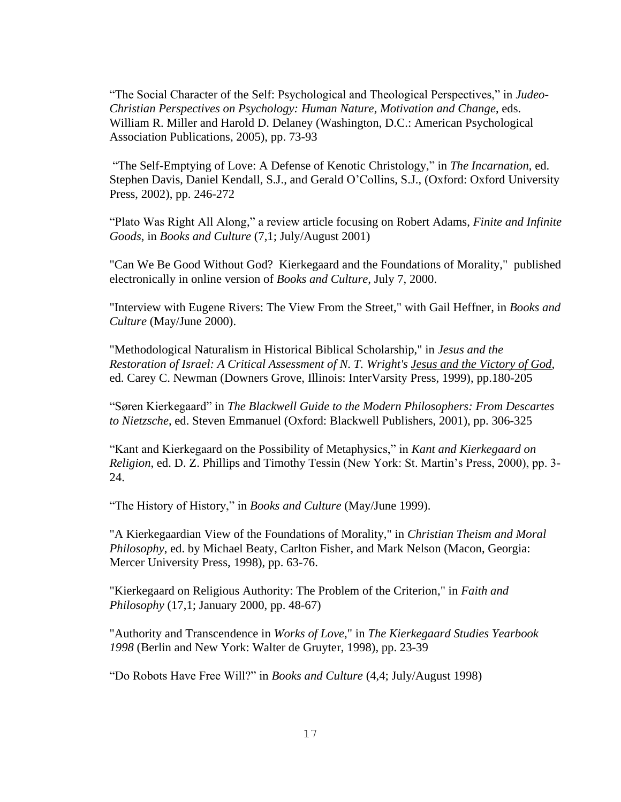"The Social Character of the Self: Psychological and Theological Perspectives," in *Judeo-Christian Perspectives on Psychology: Human Nature, Motivation and Change*, eds. William R. Miller and Harold D. Delaney (Washington, D.C.: American Psychological Association Publications, 2005), pp. 73-93

"The Self-Emptying of Love: A Defense of Kenotic Christology," in *The Incarnation*, ed. Stephen Davis, Daniel Kendall, S.J., and Gerald O'Collins, S.J., (Oxford: Oxford University Press, 2002), pp. 246-272

"Plato Was Right All Along," a review article focusing on Robert Adams, *Finite and Infinite Goods*, in *Books and Culture* (7,1; July/August 2001)

"Can We Be Good Without God? Kierkegaard and the Foundations of Morality," published electronically in online version of *Books and Culture*, July 7, 2000.

"Interview with Eugene Rivers: The View From the Street," with Gail Heffner, in *Books and Culture* (May/June 2000).

"Methodological Naturalism in Historical Biblical Scholarship," in *Jesus and the Restoration of Israel: A Critical Assessment of N. T. Wright's Jesus and the Victory of God*, ed. Carey C. Newman (Downers Grove, Illinois: InterVarsity Press, 1999), pp.180-205

"Søren Kierkegaard" in *The Blackwell Guide to the Modern Philosophers: From Descartes to Nietzsche*, ed. Steven Emmanuel (Oxford: Blackwell Publishers, 2001), pp. 306-325

"Kant and Kierkegaard on the Possibility of Metaphysics," in *Kant and Kierkegaard on Religion*, ed. D. Z. Phillips and Timothy Tessin (New York: St. Martin's Press, 2000), pp. 3- 24.

"The History of History," in *Books and Culture* (May/June 1999).

"A Kierkegaardian View of the Foundations of Morality," in *Christian Theism and Moral Philosophy*, ed. by Michael Beaty, Carlton Fisher, and Mark Nelson (Macon, Georgia: Mercer University Press, 1998), pp. 63-76.

"Kierkegaard on Religious Authority: The Problem of the Criterion," in *Faith and Philosophy* (17,1; January 2000, pp. 48-67)

"Authority and Transcendence in *Works of Love*," in *The Kierkegaard Studies Yearbook 1998* (Berlin and New York: Walter de Gruyter, 1998), pp. 23-39

"Do Robots Have Free Will?" in *Books and Culture* (4,4; July/August 1998)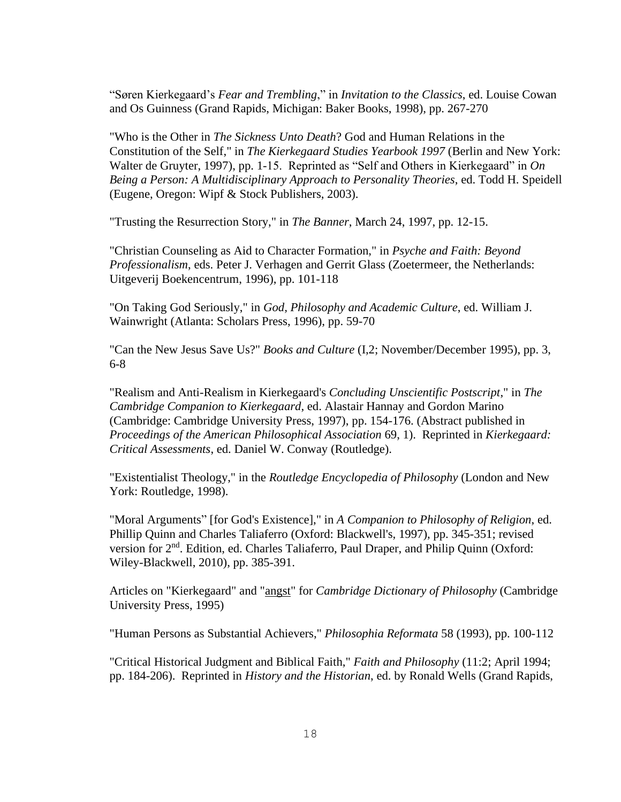"Søren Kierkegaard's *Fear and Trembling*," in *Invitation to the Classics*, ed. Louise Cowan and Os Guinness (Grand Rapids, Michigan: Baker Books, 1998), pp. 267-270

"Who is the Other in *The Sickness Unto Death*? God and Human Relations in the Constitution of the Self," in *The Kierkegaard Studies Yearbook 1997* (Berlin and New York: Walter de Gruyter, 1997), pp. 1-15. Reprinted as "Self and Others in Kierkegaard" in *On Being a Person: A Multidisciplinary Approach to Personality Theories*, ed. Todd H. Speidell (Eugene, Oregon: Wipf & Stock Publishers, 2003).

"Trusting the Resurrection Story," in *The Banner*, March 24, 1997, pp. 12-15.

"Christian Counseling as Aid to Character Formation," in *Psyche and Faith: Beyond Professionalism*, eds. Peter J. Verhagen and Gerrit Glass (Zoetermeer, the Netherlands: Uitgeverij Boekencentrum, 1996), pp. 101-118

"On Taking God Seriously," in *God, Philosophy and Academic Culture*, ed. William J. Wainwright (Atlanta: Scholars Press, 1996), pp. 59-70

"Can the New Jesus Save Us?" *Books and Culture* (I,2; November/December 1995), pp. 3, 6-8

"Realism and Anti-Realism in Kierkegaard's *Concluding Unscientific Postscript*," in *The Cambridge Companion to Kierkegaard*, ed. Alastair Hannay and Gordon Marino (Cambridge: Cambridge University Press, 1997), pp. 154-176. (Abstract published in *Proceedings of the American Philosophical Association* 69, 1). Reprinted in *Kierkegaard: Critical Assessments*, ed. Daniel W. Conway (Routledge).

"Existentialist Theology," in the *Routledge Encyclopedia of Philosophy* (London and New York: Routledge, 1998).

"Moral Arguments" [for God's Existence]," in *A Companion to Philosophy of Religion*, ed. Phillip Quinn and Charles Taliaferro (Oxford: Blackwell's, 1997), pp. 345-351; revised version for 2<sup>nd</sup>. Edition, ed. Charles Taliaferro, Paul Draper, and Philip Quinn (Oxford: Wiley-Blackwell, 2010), pp. 385-391.

Articles on "Kierkegaard" and "angst" for *Cambridge Dictionary of Philosophy* (Cambridge University Press, 1995)

"Human Persons as Substantial Achievers," *Philosophia Reformata* 58 (1993), pp. 100-112

"Critical Historical Judgment and Biblical Faith," *Faith and Philosophy* (11:2; April 1994; pp. 184-206). Reprinted in *History and the Historian*, ed. by Ronald Wells (Grand Rapids,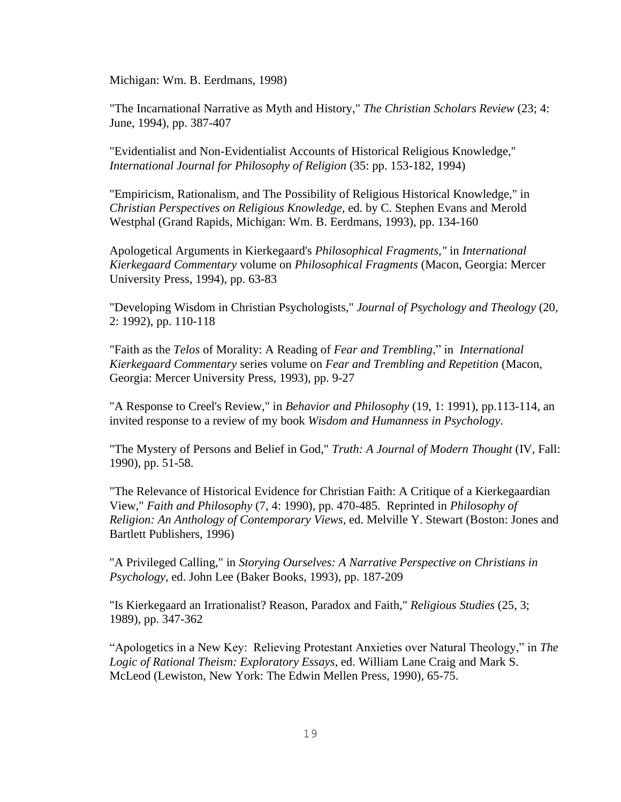Michigan: Wm. B. Eerdmans, 1998)

"The Incarnational Narrative as Myth and History," *The Christian Scholars Review* (23; 4: June, 1994), pp. 387-407

"Evidentialist and Non-Evidentialist Accounts of Historical Religious Knowledge," *International Journal for Philosophy of Religion* (35: pp. 153-182, 1994)

"Empiricism, Rationalism, and The Possibility of Religious Historical Knowledge," in *Christian Perspectives on Religious Knowledge*, ed. by C. Stephen Evans and Merold Westphal (Grand Rapids, Michigan: Wm. B. Eerdmans, 1993), pp. 134-160

Apologetical Arguments in Kierkegaard's *Philosophical Fragments,"* in *International Kierkegaard Commentary* volume on *Philosophical Fragments* (Macon, Georgia: Mercer University Press, 1994), pp. 63-83

"Developing Wisdom in Christian Psychologists," *Journal of Psychology and Theology* (20, 2: 1992), pp. 110-118

"Faith as the *Telos* of Morality: A Reading of *Fear and Trembling*," in *International Kierkegaard Commentary* series volume on *Fear and Trembling and Repetition* (Macon, Georgia: Mercer University Press, 1993), pp. 9-27

"A Response to Creel's Review," in *Behavior and Philosophy* (19, 1: 1991), pp.113-114, an invited response to a review of my book *Wisdom and Humanness in Psychology*.

"The Mystery of Persons and Belief in God," *Truth: A Journal of Modern Thought* (IV, Fall: 1990), pp. 51-58.

"The Relevance of Historical Evidence for Christian Faith: A Critique of a Kierkegaardian View," *Faith and Philosophy* (7, 4: 1990), pp. 470-485. Reprinted in *Philosophy of Religion: An Anthology of Contemporary Views*, ed. Melville Y. Stewart (Boston: Jones and Bartlett Publishers, 1996)

"A Privileged Calling," in *Storying Ourselves: A Narrative Perspective on Christians in Psychology*, ed. John Lee (Baker Books, 1993), pp. 187-209

"Is Kierkegaard an Irrationalist? Reason, Paradox and Faith," *Religious Studies* (25, 3; 1989), pp. 347-362

"Apologetics in a New Key: Relieving Protestant Anxieties over Natural Theology," in *The Logic of Rational Theism: Exploratory Essays*, ed. William Lane Craig and Mark S. McLeod (Lewiston, New York: The Edwin Mellen Press, 1990), 65-75.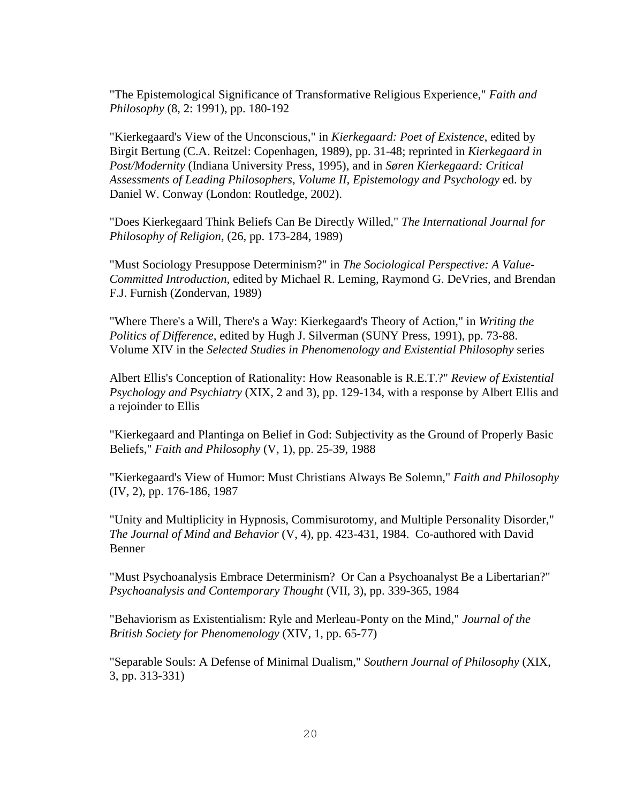"The Epistemological Significance of Transformative Religious Experience," *Faith and Philosophy* (8, 2: 1991), pp. 180-192

"Kierkegaard's View of the Unconscious," in *Kierkegaard: Poet of Existence*, edited by Birgit Bertung (C.A. Reitzel: Copenhagen, 1989), pp. 31-48; reprinted in *Kierkegaard in Post/Modernity* (Indiana University Press, 1995), and in *Søren Kierkegaard: Critical Assessments of Leading Philosophers*, *Volume II, Epistemology and Psychology* ed. by Daniel W. Conway (London: Routledge, 2002).

"Does Kierkegaard Think Beliefs Can Be Directly Willed," *The International Journal for Philosophy of Religion*, (26, pp. 173-284, 1989)

"Must Sociology Presuppose Determinism?" in *The Sociological Perspective: A Value-Committed Introduction*, edited by Michael R. Leming, Raymond G. DeVries, and Brendan F.J. Furnish (Zondervan, 1989)

"Where There's a Will, There's a Way: Kierkegaard's Theory of Action," in *Writing the Politics of Difference,* edited by Hugh J. Silverman (SUNY Press, 1991), pp. 73-88. Volume XIV in the *Selected Studies in Phenomenology and Existential Philosophy* series

Albert Ellis's Conception of Rationality: How Reasonable is R.E.T.?" *Review of Existential Psychology and Psychiatry* (XIX, 2 and 3), pp. 129-134, with a response by Albert Ellis and a rejoinder to Ellis

"Kierkegaard and Plantinga on Belief in God: Subjectivity as the Ground of Properly Basic Beliefs," *Faith and Philosophy* (V, 1), pp. 25-39, 1988

"Kierkegaard's View of Humor: Must Christians Always Be Solemn," *Faith and Philosophy* (IV, 2), pp. 176-186, 1987

"Unity and Multiplicity in Hypnosis, Commisurotomy, and Multiple Personality Disorder," *The Journal of Mind and Behavior* (V, 4), pp. 423-431, 1984. Co-authored with David Benner

"Must Psychoanalysis Embrace Determinism? Or Can a Psychoanalyst Be a Libertarian?" *Psychoanalysis and Contemporary Thought* (VII, 3), pp. 339-365, 1984

"Behaviorism as Existentialism: Ryle and Merleau-Ponty on the Mind," *Journal of the British Society for Phenomenology* (XIV, 1, pp. 65-77)

"Separable Souls: A Defense of Minimal Dualism," *Southern Journal of Philosophy* (XIX, 3, pp. 313-331)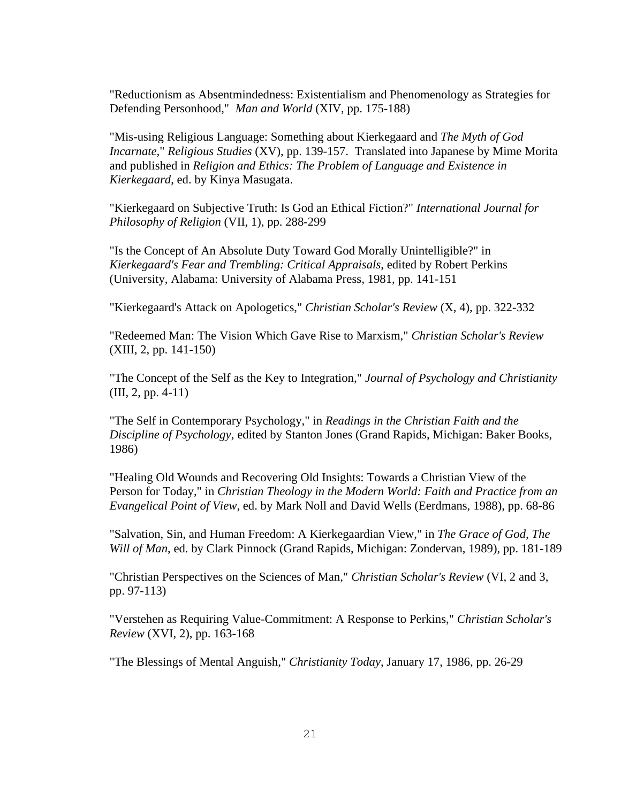"Reductionism as Absentmindedness: Existentialism and Phenomenology as Strategies for Defending Personhood," *Man and World* (XIV, pp. 175-188)

"Mis-using Religious Language: Something about Kierkegaard and *The Myth of God Incarnate,*" *Religious Studies* (XV), pp. 139-157. Translated into Japanese by Mime Morita and published in *Religion and Ethics: The Problem of Language and Existence in Kierkegaard*, ed. by Kinya Masugata.

"Kierkegaard on Subjective Truth: Is God an Ethical Fiction?" *International Journal for Philosophy of Religion* (VII, 1), pp. 288-299

"Is the Concept of An Absolute Duty Toward God Morally Unintelligible?" in *Kierkegaard's Fear and Trembling: Critical Appraisals*, edited by Robert Perkins (University, Alabama: University of Alabama Press, 1981, pp. 141-151

"Kierkegaard's Attack on Apologetics," *Christian Scholar's Review* (X, 4), pp. 322-332

"Redeemed Man: The Vision Which Gave Rise to Marxism," *Christian Scholar's Review* (XIII, 2, pp. 141-150)

"The Concept of the Self as the Key to Integration," *Journal of Psychology and Christianity* (III, 2, pp. 4-11)

"The Self in Contemporary Psychology," in *Readings in the Christian Faith and the Discipline of Psychology*, edited by Stanton Jones (Grand Rapids, Michigan: Baker Books, 1986)

"Healing Old Wounds and Recovering Old Insights: Towards a Christian View of the Person for Today," in *Christian Theology in the Modern World: Faith and Practice from an Evangelical Point of View*, ed. by Mark Noll and David Wells (Eerdmans, 1988), pp. 68-86

"Salvation, Sin, and Human Freedom: A Kierkegaardian View," in *The Grace of God, The Will of Man*, ed. by Clark Pinnock (Grand Rapids, Michigan: Zondervan, 1989), pp. 181-189

"Christian Perspectives on the Sciences of Man," *Christian Scholar's Review* (VI, 2 and 3, pp. 97-113)

"Verstehen as Requiring Value-Commitment: A Response to Perkins," *Christian Scholar's Review* (XVI, 2), pp. 163-168

"The Blessings of Mental Anguish," *Christianity Today*, January 17, 1986, pp. 26-29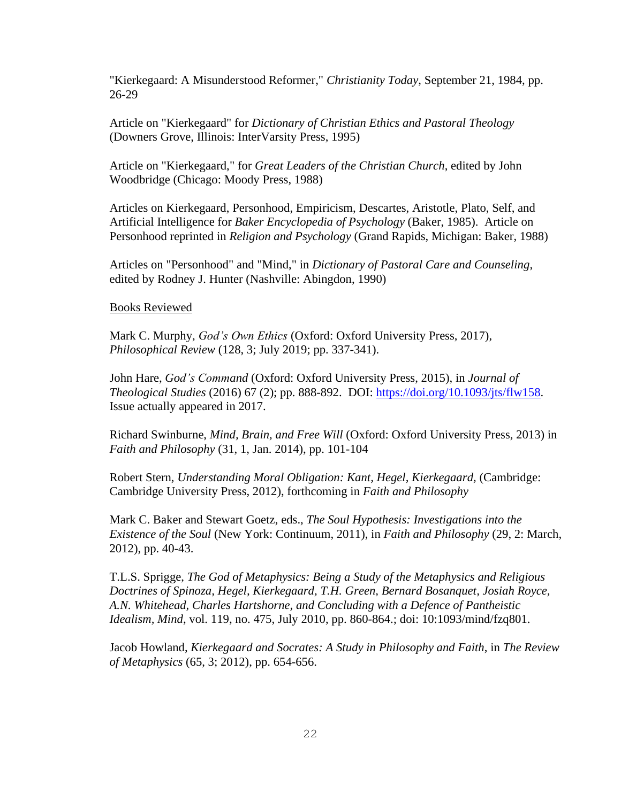"Kierkegaard: A Misunderstood Reformer," *Christianity Today*, September 21, 1984, pp. 26-29

Article on "Kierkegaard" for *Dictionary of Christian Ethics and Pastoral Theology* (Downers Grove, Illinois: InterVarsity Press, 1995)

Article on "Kierkegaard," for *Great Leaders of the Christian Church*, edited by John Woodbridge (Chicago: Moody Press, 1988)

Articles on Kierkegaard, Personhood, Empiricism, Descartes, Aristotle, Plato, Self, and Artificial Intelligence for *Baker Encyclopedia of Psychology* (Baker, 1985). Article on Personhood reprinted in *Religion and Psychology* (Grand Rapids, Michigan: Baker, 1988)

Articles on "Personhood" and "Mind," in *Dictionary of Pastoral Care and Counseling*, edited by Rodney J. Hunter (Nashville: Abingdon, 1990)

#### Books Reviewed

Mark C. Murphy, *God's Own Ethics* (Oxford: Oxford University Press, 2017), *Philosophical Review* (128, 3; July 2019; pp. 337-341).

John Hare, *God's Command* (Oxford: Oxford University Press, 2015), in *Journal of Theological Studies* (2016) 67 (2); pp. 888-892. DOI: [https://doi.org/10.1093/jts/flw158.](https://doi.org/10.1093/jts/flw158) Issue actually appeared in 2017.

Richard Swinburne, *Mind, Brain, and Free Will* (Oxford: Oxford University Press, 2013) in *Faith and Philosophy* (31, 1, Jan. 2014), pp. 101-104

Robert Stern, *Understanding Moral Obligation: Kant, Hegel, Kierkegaard,* (Cambridge: Cambridge University Press, 2012), forthcoming in *Faith and Philosophy*

Mark C. Baker and Stewart Goetz, eds., *The Soul Hypothesis: Investigations into the Existence of the Soul* (New York: Continuum, 2011), in *Faith and Philosophy* (29, 2: March, 2012), pp. 40-43.

T.L.S. Sprigge, *The God of Metaphysics: Being a Study of the Metaphysics and Religious Doctrines of Spinoza, Hegel, Kierkegaard, T.H. Green, Bernard Bosanquet, Josiah Royce, A.N. Whitehead, Charles Hartshorne, and Concluding with a Defence of Pantheistic Idealism, Mind*, vol. 119, no. 475, July 2010, pp. 860-864.; doi: 10:1093/mind/fzq801.

Jacob Howland, *Kierkegaard and Socrates: A Study in Philosophy and Faith*, in *The Review of Metaphysics* (65, 3; 2012), pp. 654-656.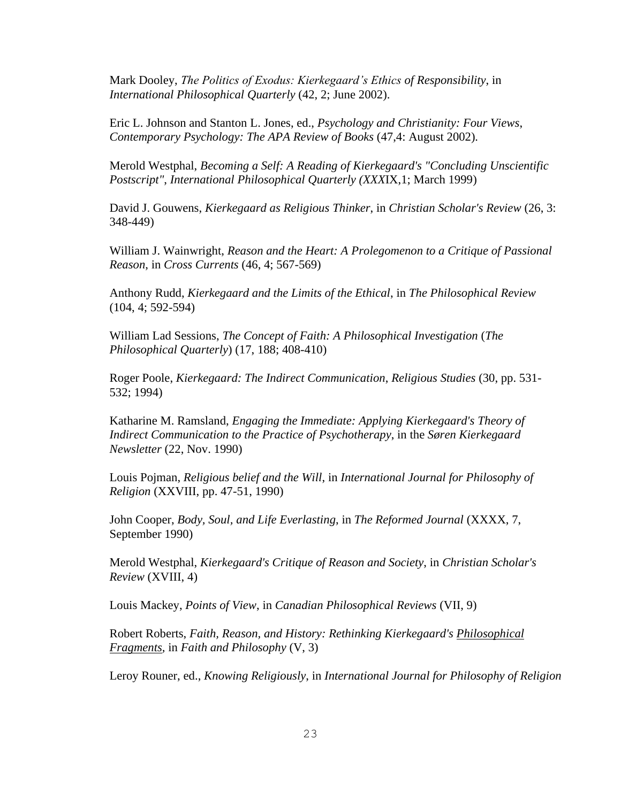Mark Dooley, *The Politics of Exodus: Kierkegaard's Ethics of Responsibility*, in *International Philosophical Quarterly* (42, 2; June 2002).

Eric L. Johnson and Stanton L. Jones, ed., *Psychology and Christianity: Four Views*, *Contemporary Psychology: The APA Review of Books* (47,4: August 2002)*.*

Merold Westphal, *Becoming a Self: A Reading of Kierkegaard's "Concluding Unscientific Postscript"*, *International Philosophical Quarterly (XXX*IX,1; March 1999)

David J. Gouwens, *Kierkegaard as Religious Thinker*, in *Christian Scholar's Review* (26, 3: 348-449)

William J. Wainwright, *Reason and the Heart: A Prolegomenon to a Critique of Passional Reason*, in *Cross Currents* (46, 4; 567-569)

Anthony Rudd, *Kierkegaard and the Limits of the Ethical*, in *The Philosophical Review* (104, 4; 592-594)

William Lad Sessions, *The Concept of Faith: A Philosophical Investigation* (*The Philosophical Quarterly*) (17, 188; 408-410)

Roger Poole, *Kierkegaard: The Indirect Communication*, *Religious Studies* (30, pp. 531- 532; 1994)

Katharine M. Ramsland, *Engaging the Immediate: Applying Kierkegaard's Theory of Indirect Communication to the Practice of Psychotherapy*, in the *Søren Kierkegaard Newsletter* (22, Nov. 1990)

Louis Pojman, *Religious belief and the Will*, in *International Journal for Philosophy of Religion* (XXVIII, pp. 47-51, 1990)

John Cooper, *Body, Soul, and Life Everlasting*, in *The Reformed Journal* (XXXX, 7, September 1990)

Merold Westphal, *Kierkegaard's Critique of Reason and Society*, in *Christian Scholar's Review* (XVIII, 4)

Louis Mackey, *Points of View*, in *Canadian Philosophical Reviews* (VII, 9)

Robert Roberts, *Faith, Reason, and History: Rethinking Kierkegaard's Philosophical Fragments,* in *Faith and Philosophy* (V, 3)

Leroy Rouner, ed., *Knowing Religiously*, in *International Journal for Philosophy of Religion*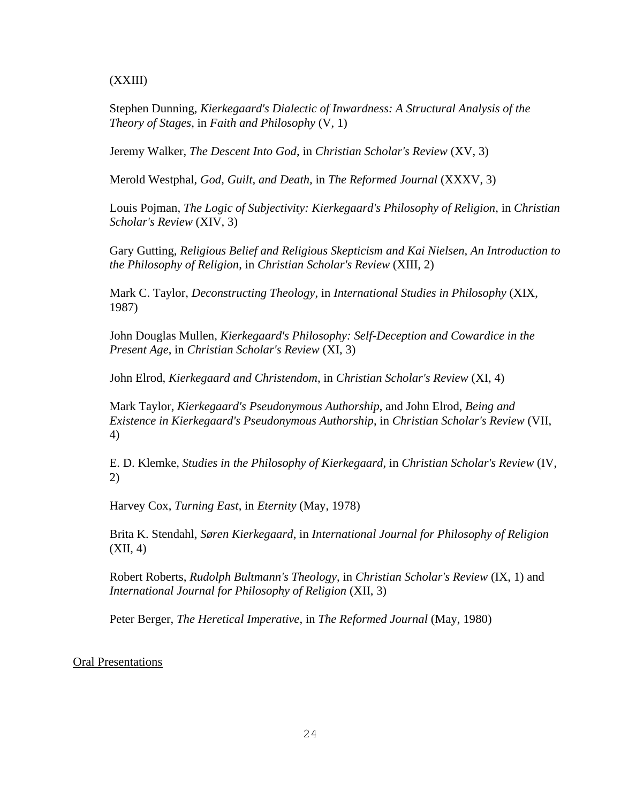(XXIII)

Stephen Dunning, *Kierkegaard's Dialectic of Inwardness: A Structural Analysis of the Theory of Stages*, in *Faith and Philosophy* (V, 1)

Jeremy Walker, *The Descent Into God*, in *Christian Scholar's Review* (XV, 3)

Merold Westphal, *God, Guilt, and Death,* in *The Reformed Journal* (XXXV, 3)

Louis Pojman, *The Logic of Subjectivity: Kierkegaard's Philosophy of Religion*, in *Christian Scholar's Review* (XIV, 3)

Gary Gutting, *Religious Belief and Religious Skepticism and Kai Nielsen, An Introduction to the Philosophy of Religion*, in *Christian Scholar's Review* (XIII, 2)

Mark C. Taylor, *Deconstructing Theology*, in *International Studies in Philosophy* (XIX, 1987)

John Douglas Mullen, *Kierkegaard's Philosophy: Self-Deception and Cowardice in the Present Age*, in *Christian Scholar's Review* (XI, 3)

John Elrod, *Kierkegaard and Christendom*, in *Christian Scholar's Review* (XI, 4)

Mark Taylor, *Kierkegaard's Pseudonymous Authorship*, and John Elrod, *Being and Existence in Kierkegaard's Pseudonymous Authorship*, in *Christian Scholar's Review* (VII, 4)

E. D. Klemke, *Studies in the Philosophy of Kierkegaard*, in *Christian Scholar's Review* (IV, 2)

Harvey Cox, *Turning East*, in *Eternity* (May, 1978)

Brita K. Stendahl, *Søren Kierkegaard*, in *International Journal for Philosophy of Religion* (XII, 4)

Robert Roberts, *Rudolph Bultmann's Theology*, in *Christian Scholar's Review* (IX, 1) and *International Journal for Philosophy of Religion* (XII, 3)

Peter Berger, *The Heretical Imperative*, in *The Reformed Journal* (May, 1980)

Oral Presentations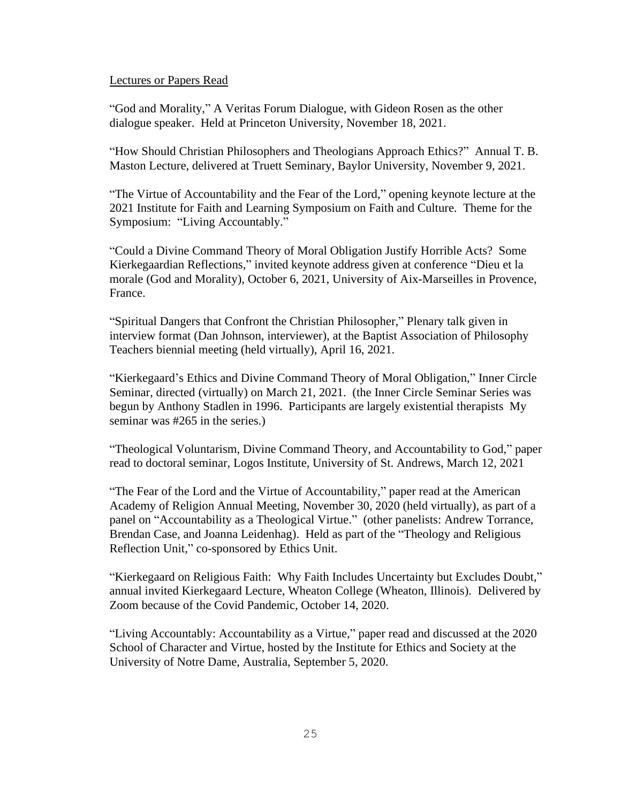# Lectures or Papers Read

"God and Morality," A Veritas Forum Dialogue, with Gideon Rosen as the other dialogue speaker. Held at Princeton University, November 18, 2021.

"How Should Christian Philosophers and Theologians Approach Ethics?" Annual T. B. Maston Lecture, delivered at Truett Seminary, Baylor University, November 9, 2021.

"The Virtue of Accountability and the Fear of the Lord," opening keynote lecture at the 2021 Institute for Faith and Learning Symposium on Faith and Culture. Theme for the Symposium: "Living Accountably."

"Could a Divine Command Theory of Moral Obligation Justify Horrible Acts? Some Kierkegaardian Reflections," invited keynote address given at conference "Dieu et la morale (God and Morality), October 6, 2021, University of Aix-Marseilles in Provence, France.

"Spiritual Dangers that Confront the Christian Philosopher," Plenary talk given in interview format (Dan Johnson, interviewer), at the Baptist Association of Philosophy Teachers biennial meeting (held virtually), April 16, 2021.

"Kierkegaard's Ethics and Divine Command Theory of Moral Obligation," Inner Circle Seminar, directed (virtually) on March 21, 2021. (the Inner Circle Seminar Series was begun by Anthony Stadlen in 1996. Participants are largely existential therapists My seminar was #265 in the series.)

"Theological Voluntarism, Divine Command Theory, and Accountability to God," paper read to doctoral seminar, Logos Institute, University of St. Andrews, March 12, 2021

"The Fear of the Lord and the Virtue of Accountability," paper read at the American Academy of Religion Annual Meeting, November 30, 2020 (held virtually), as part of a panel on "Accountability as a Theological Virtue." (other panelists: Andrew Torrance, Brendan Case, and Joanna Leidenhag). Held as part of the "Theology and Religious Reflection Unit," co-sponsored by Ethics Unit.

"Kierkegaard on Religious Faith: Why Faith Includes Uncertainty but Excludes Doubt," annual invited Kierkegaard Lecture, Wheaton College (Wheaton, Illinois). Delivered by Zoom because of the Covid Pandemic, October 14, 2020.

"Living Accountably: Accountability as a Virtue," paper read and discussed at the 2020 School of Character and Virtue, hosted by the Institute for Ethics and Society at the University of Notre Dame, Australia, September 5, 2020.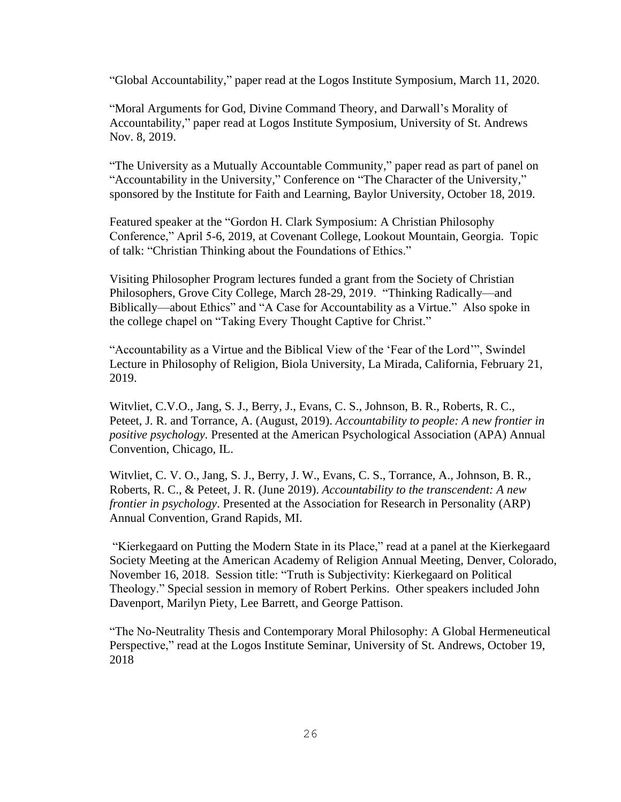"Global Accountability," paper read at the Logos Institute Symposium, March 11, 2020.

"Moral Arguments for God, Divine Command Theory, and Darwall's Morality of Accountability," paper read at Logos Institute Symposium, University of St. Andrews Nov. 8, 2019.

"The University as a Mutually Accountable Community," paper read as part of panel on "Accountability in the University," Conference on "The Character of the University," sponsored by the Institute for Faith and Learning, Baylor University, October 18, 2019.

Featured speaker at the "Gordon H. Clark Symposium: A Christian Philosophy Conference," April 5-6, 2019, at Covenant College, Lookout Mountain, Georgia. Topic of talk: "Christian Thinking about the Foundations of Ethics."

Visiting Philosopher Program lectures funded a grant from the Society of Christian Philosophers, Grove City College, March 28-29, 2019. "Thinking Radically—and Biblically—about Ethics" and "A Case for Accountability as a Virtue." Also spoke in the college chapel on "Taking Every Thought Captive for Christ."

"Accountability as a Virtue and the Biblical View of the 'Fear of the Lord'", Swindel Lecture in Philosophy of Religion, Biola University, La Mirada, California, February 21, 2019.

Witvliet, C.V.O., Jang, S. J., Berry, J., Evans, C. S., Johnson, B. R., Roberts, R. C., Peteet, J. R. and Torrance, A. (August, 2019). *Accountability to people: A new frontier in positive psychology.* Presented at the American Psychological Association (APA) Annual Convention, Chicago, IL.

Witvliet, C. V. O., Jang, S. J., Berry, J. W., Evans, C. S., Torrance, A., Johnson, B. R., Roberts, R. C., & Peteet, J. R. (June 2019). *Accountability to the transcendent: A new frontier in psychology*. Presented at the Association for Research in Personality (ARP) Annual Convention, Grand Rapids, MI.

"Kierkegaard on Putting the Modern State in its Place," read at a panel at the Kierkegaard Society Meeting at the American Academy of Religion Annual Meeting, Denver, Colorado, November 16, 2018. Session title: "Truth is Subjectivity: Kierkegaard on Political Theology." Special session in memory of Robert Perkins. Other speakers included John Davenport, Marilyn Piety, Lee Barrett, and George Pattison.

"The No-Neutrality Thesis and Contemporary Moral Philosophy: A Global Hermeneutical Perspective," read at the Logos Institute Seminar, University of St. Andrews, October 19, 2018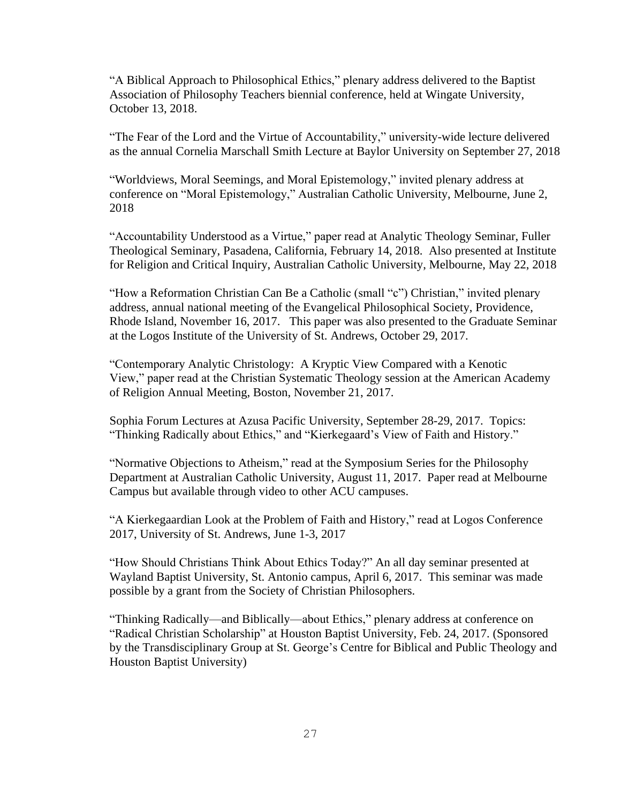"A Biblical Approach to Philosophical Ethics," plenary address delivered to the Baptist Association of Philosophy Teachers biennial conference, held at Wingate University, October 13, 2018.

"The Fear of the Lord and the Virtue of Accountability," university-wide lecture delivered as the annual Cornelia Marschall Smith Lecture at Baylor University on September 27, 2018

"Worldviews, Moral Seemings, and Moral Epistemology," invited plenary address at conference on "Moral Epistemology," Australian Catholic University, Melbourne, June 2, 2018

"Accountability Understood as a Virtue," paper read at Analytic Theology Seminar, Fuller Theological Seminary, Pasadena, California, February 14, 2018. Also presented at Institute for Religion and Critical Inquiry, Australian Catholic University, Melbourne, May 22, 2018

"How a Reformation Christian Can Be a Catholic (small "c") Christian," invited plenary address, annual national meeting of the Evangelical Philosophical Society, Providence, Rhode Island, November 16, 2017. This paper was also presented to the Graduate Seminar at the Logos Institute of the University of St. Andrews, October 29, 2017.

"Contemporary Analytic Christology: A Kryptic View Compared with a Kenotic View," paper read at the Christian Systematic Theology session at the American Academy of Religion Annual Meeting, Boston, November 21, 2017.

Sophia Forum Lectures at Azusa Pacific University, September 28-29, 2017. Topics: "Thinking Radically about Ethics," and "Kierkegaard's View of Faith and History."

"Normative Objections to Atheism," read at the Symposium Series for the Philosophy Department at Australian Catholic University, August 11, 2017. Paper read at Melbourne Campus but available through video to other ACU campuses.

"A Kierkegaardian Look at the Problem of Faith and History," read at Logos Conference 2017, University of St. Andrews, June 1-3, 2017

"How Should Christians Think About Ethics Today?" An all day seminar presented at Wayland Baptist University, St. Antonio campus, April 6, 2017. This seminar was made possible by a grant from the Society of Christian Philosophers.

"Thinking Radically—and Biblically—about Ethics," plenary address at conference on "Radical Christian Scholarship" at Houston Baptist University, Feb. 24, 2017. (Sponsored by the Transdisciplinary Group at St. George's Centre for Biblical and Public Theology and Houston Baptist University)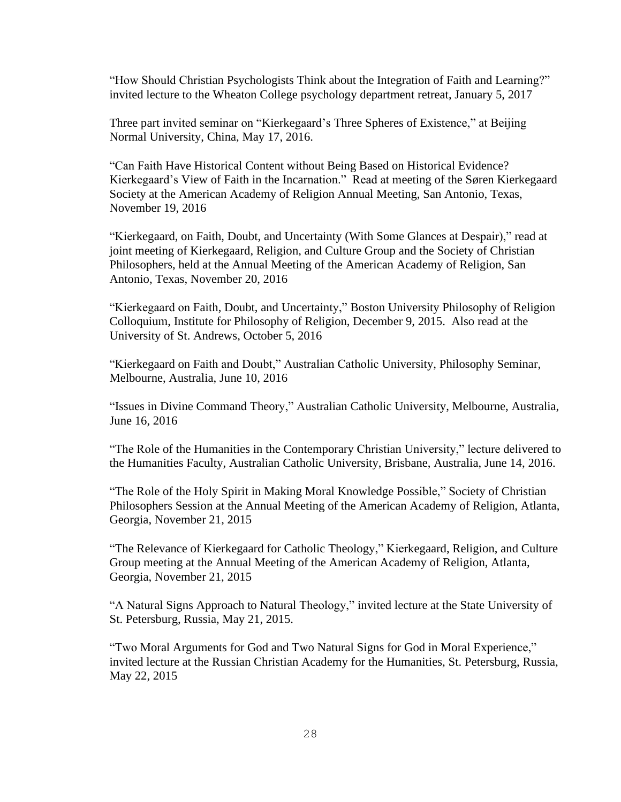"How Should Christian Psychologists Think about the Integration of Faith and Learning?" invited lecture to the Wheaton College psychology department retreat, January 5, 2017

Three part invited seminar on "Kierkegaard's Three Spheres of Existence," at Beijing Normal University, China, May 17, 2016.

"Can Faith Have Historical Content without Being Based on Historical Evidence? Kierkegaard's View of Faith in the Incarnation." Read at meeting of the Søren Kierkegaard Society at the American Academy of Religion Annual Meeting, San Antonio, Texas, November 19, 2016

"Kierkegaard, on Faith, Doubt, and Uncertainty (With Some Glances at Despair)," read at joint meeting of Kierkegaard, Religion, and Culture Group and the Society of Christian Philosophers, held at the Annual Meeting of the American Academy of Religion, San Antonio, Texas, November 20, 2016

"Kierkegaard on Faith, Doubt, and Uncertainty," Boston University Philosophy of Religion Colloquium, Institute for Philosophy of Religion, December 9, 2015. Also read at the University of St. Andrews, October 5, 2016

"Kierkegaard on Faith and Doubt," Australian Catholic University, Philosophy Seminar, Melbourne, Australia, June 10, 2016

"Issues in Divine Command Theory," Australian Catholic University, Melbourne, Australia, June 16, 2016

"The Role of the Humanities in the Contemporary Christian University," lecture delivered to the Humanities Faculty, Australian Catholic University, Brisbane, Australia, June 14, 2016.

"The Role of the Holy Spirit in Making Moral Knowledge Possible," Society of Christian Philosophers Session at the Annual Meeting of the American Academy of Religion, Atlanta, Georgia, November 21, 2015

"The Relevance of Kierkegaard for Catholic Theology," Kierkegaard, Religion, and Culture Group meeting at the Annual Meeting of the American Academy of Religion, Atlanta, Georgia, November 21, 2015

"A Natural Signs Approach to Natural Theology," invited lecture at the State University of St. Petersburg, Russia, May 21, 2015.

"Two Moral Arguments for God and Two Natural Signs for God in Moral Experience," invited lecture at the Russian Christian Academy for the Humanities, St. Petersburg, Russia, May 22, 2015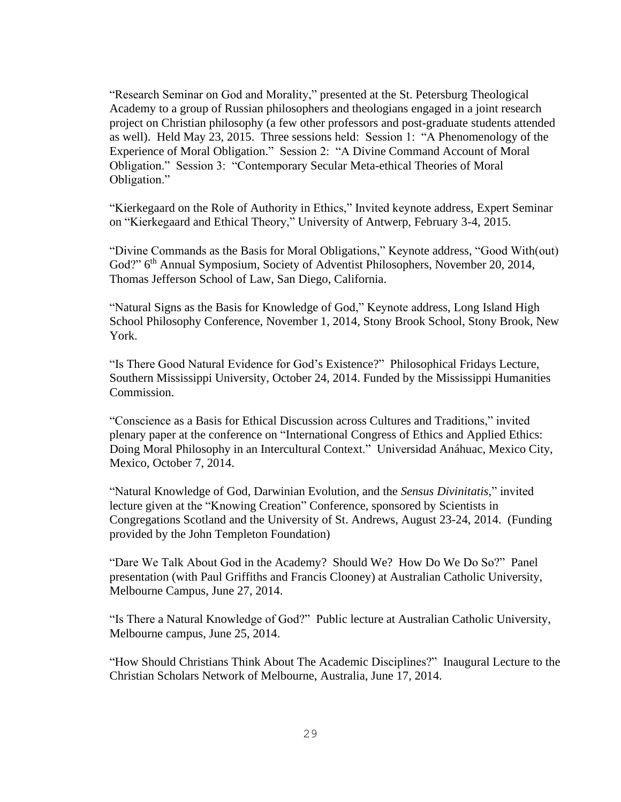"Research Seminar on God and Morality," presented at the St. Petersburg Theological Academy to a group of Russian philosophers and theologians engaged in a joint research project on Christian philosophy (a few other professors and post-graduate students attended as well). Held May 23, 2015. Three sessions held: Session 1: "A Phenomenology of the Experience of Moral Obligation." Session 2: "A Divine Command Account of Moral Obligation." Session 3: "Contemporary Secular Meta-ethical Theories of Moral Obligation."

"Kierkegaard on the Role of Authority in Ethics," Invited keynote address, Expert Seminar on "Kierkegaard and Ethical Theory," University of Antwerp, February 3-4, 2015.

"Divine Commands as the Basis for Moral Obligations," Keynote address, "Good With(out) God?" 6<sup>th</sup> Annual Symposium, Society of Adventist Philosophers, November 20, 2014, Thomas Jefferson School of Law, San Diego, California.

"Natural Signs as the Basis for Knowledge of God," Keynote address, Long Island High School Philosophy Conference, November 1, 2014, Stony Brook School, Stony Brook, New York.

"Is There Good Natural Evidence for God's Existence?" Philosophical Fridays Lecture, Southern Mississippi University, October 24, 2014. Funded by the Mississippi Humanities Commission.

"Conscience as a Basis for Ethical Discussion across Cultures and Traditions," invited plenary paper at the conference on "International Congress of Ethics and Applied Ethics: Doing Moral Philosophy in an Intercultural Context." Universidad Anáhuac, Mexico City, Mexico, October 7, 2014.

"Natural Knowledge of God, Darwinian Evolution, and the *Sensus Divinitatis,*" invited lecture given at the "Knowing Creation" Conference, sponsored by Scientists in Congregations Scotland and the University of St. Andrews, August 23-24, 2014. (Funding provided by the John Templeton Foundation)

"Dare We Talk About God in the Academy? Should We? How Do We Do So?" Panel presentation (with Paul Griffiths and Francis Clooney) at Australian Catholic University, Melbourne Campus, June 27, 2014.

"Is There a Natural Knowledge of God?" Public lecture at Australian Catholic University, Melbourne campus, June 25, 2014.

"How Should Christians Think About The Academic Disciplines?" Inaugural Lecture to the Christian Scholars Network of Melbourne, Australia, June 17, 2014.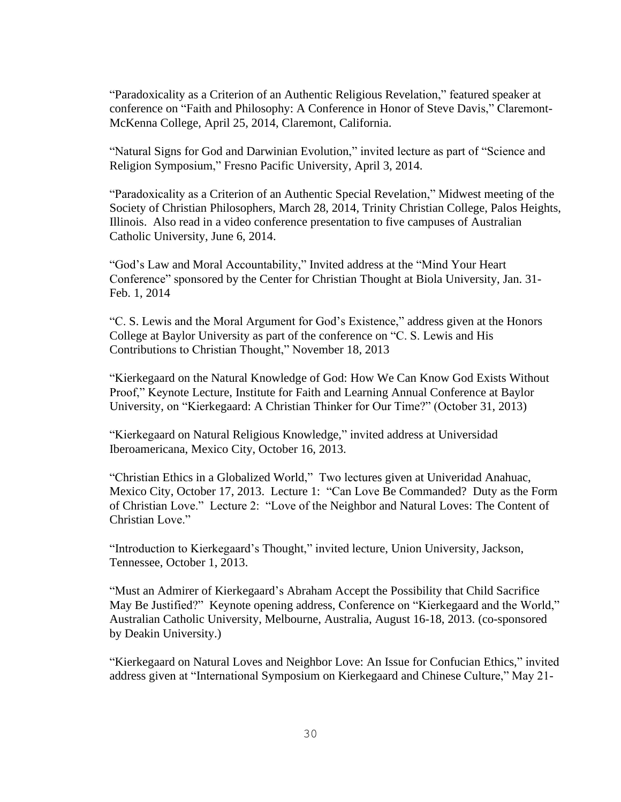"Paradoxicality as a Criterion of an Authentic Religious Revelation," featured speaker at conference on "Faith and Philosophy: A Conference in Honor of Steve Davis," Claremont-McKenna College, April 25, 2014, Claremont, California.

"Natural Signs for God and Darwinian Evolution," invited lecture as part of "Science and Religion Symposium," Fresno Pacific University, April 3, 2014.

"Paradoxicality as a Criterion of an Authentic Special Revelation," Midwest meeting of the Society of Christian Philosophers, March 28, 2014, Trinity Christian College, Palos Heights, Illinois. Also read in a video conference presentation to five campuses of Australian Catholic University, June 6, 2014.

"God's Law and Moral Accountability," Invited address at the "Mind Your Heart Conference" sponsored by the Center for Christian Thought at Biola University, Jan. 31- Feb. 1, 2014

"C. S. Lewis and the Moral Argument for God's Existence," address given at the Honors College at Baylor University as part of the conference on "C. S. Lewis and His Contributions to Christian Thought," November 18, 2013

"Kierkegaard on the Natural Knowledge of God: How We Can Know God Exists Without Proof," Keynote Lecture, Institute for Faith and Learning Annual Conference at Baylor University, on "Kierkegaard: A Christian Thinker for Our Time?" (October 31, 2013)

"Kierkegaard on Natural Religious Knowledge," invited address at Universidad Iberoamericana, Mexico City, October 16, 2013.

"Christian Ethics in a Globalized World," Two lectures given at Univeridad Anahuac, Mexico City, October 17, 2013. Lecture 1: "Can Love Be Commanded? Duty as the Form of Christian Love." Lecture 2: "Love of the Neighbor and Natural Loves: The Content of Christian Love."

"Introduction to Kierkegaard's Thought," invited lecture, Union University, Jackson, Tennessee, October 1, 2013.

"Must an Admirer of Kierkegaard's Abraham Accept the Possibility that Child Sacrifice May Be Justified?" Keynote opening address, Conference on "Kierkegaard and the World," Australian Catholic University, Melbourne, Australia, August 16-18, 2013. (co-sponsored by Deakin University.)

"Kierkegaard on Natural Loves and Neighbor Love: An Issue for Confucian Ethics," invited address given at "International Symposium on Kierkegaard and Chinese Culture," May 21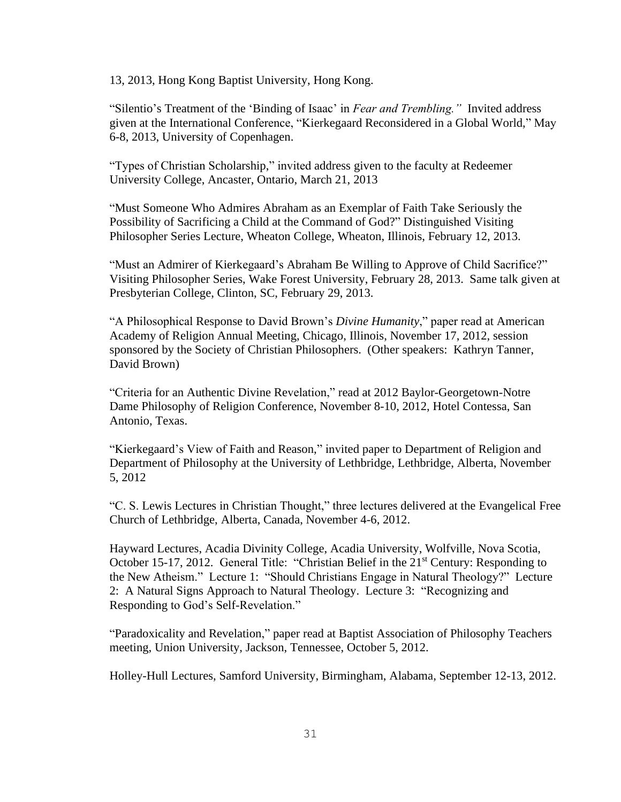13, 2013, Hong Kong Baptist University, Hong Kong.

"Silentio's Treatment of the 'Binding of Isaac' in *Fear and Trembling."* Invited address given at the International Conference, "Kierkegaard Reconsidered in a Global World," May 6-8, 2013, University of Copenhagen.

"Types of Christian Scholarship," invited address given to the faculty at Redeemer University College, Ancaster, Ontario, March 21, 2013

"Must Someone Who Admires Abraham as an Exemplar of Faith Take Seriously the Possibility of Sacrificing a Child at the Command of God?" Distinguished Visiting Philosopher Series Lecture, Wheaton College, Wheaton, Illinois, February 12, 2013.

"Must an Admirer of Kierkegaard's Abraham Be Willing to Approve of Child Sacrifice?" Visiting Philosopher Series, Wake Forest University, February 28, 2013. Same talk given at Presbyterian College, Clinton, SC, February 29, 2013.

"A Philosophical Response to David Brown's *Divine Humanity*," paper read at American Academy of Religion Annual Meeting, Chicago, Illinois, November 17, 2012, session sponsored by the Society of Christian Philosophers. (Other speakers: Kathryn Tanner, David Brown)

"Criteria for an Authentic Divine Revelation," read at 2012 Baylor-Georgetown-Notre Dame Philosophy of Religion Conference, November 8-10, 2012, Hotel Contessa, San Antonio, Texas.

"Kierkegaard's View of Faith and Reason," invited paper to Department of Religion and Department of Philosophy at the University of Lethbridge, Lethbridge, Alberta, November 5, 2012

"C. S. Lewis Lectures in Christian Thought," three lectures delivered at the Evangelical Free Church of Lethbridge, Alberta, Canada, November 4-6, 2012.

Hayward Lectures, Acadia Divinity College, Acadia University, Wolfville, Nova Scotia, October 15-17, 2012. General Title: "Christian Belief in the 21<sup>st</sup> Century: Responding to the New Atheism." Lecture 1: "Should Christians Engage in Natural Theology?" Lecture 2: A Natural Signs Approach to Natural Theology. Lecture 3: "Recognizing and Responding to God's Self-Revelation."

"Paradoxicality and Revelation," paper read at Baptist Association of Philosophy Teachers meeting, Union University, Jackson, Tennessee, October 5, 2012.

Holley-Hull Lectures, Samford University, Birmingham, Alabama, September 12-13, 2012.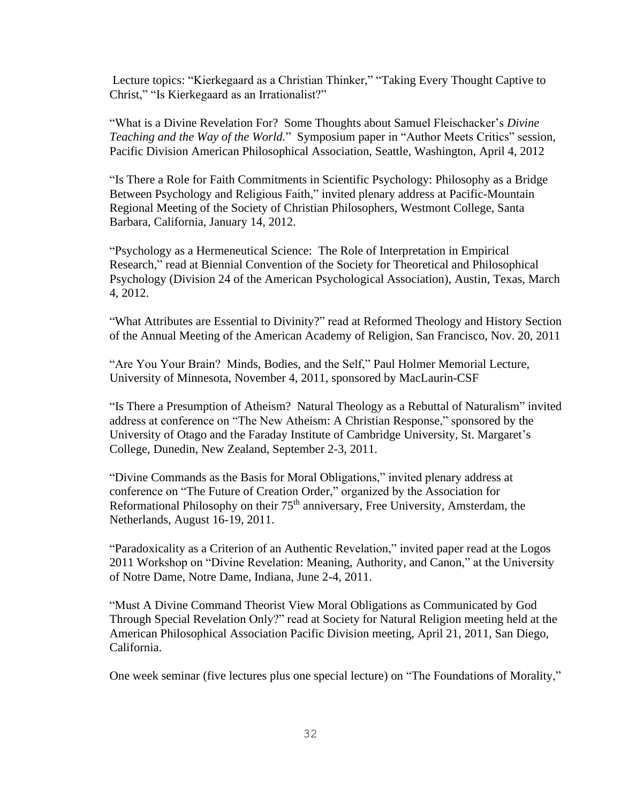Lecture topics: "Kierkegaard as a Christian Thinker," "Taking Every Thought Captive to Christ," "Is Kierkegaard as an Irrationalist?"

"What is a Divine Revelation For? Some Thoughts about Samuel Fleischacker's *Divine Teaching and the Way of the World.*"Symposium paper in "Author Meets Critics" session, Pacific Division American Philosophical Association, Seattle, Washington, April 4, 2012

"Is There a Role for Faith Commitments in Scientific Psychology: Philosophy as a Bridge Between Psychology and Religious Faith," invited plenary address at Pacific-Mountain Regional Meeting of the Society of Christian Philosophers, Westmont College, Santa Barbara, California, January 14, 2012.

"Psychology as a Hermeneutical Science: The Role of Interpretation in Empirical Research," read at Biennial Convention of the Society for Theoretical and Philosophical Psychology (Division 24 of the American Psychological Association), Austin, Texas, March 4, 2012.

"What Attributes are Essential to Divinity?" read at Reformed Theology and History Section of the Annual Meeting of the American Academy of Religion, San Francisco, Nov. 20, 2011

"Are You Your Brain? Minds, Bodies, and the Self," Paul Holmer Memorial Lecture, University of Minnesota, November 4, 2011, sponsored by MacLaurin-CSF

"Is There a Presumption of Atheism? Natural Theology as a Rebuttal of Naturalism" invited address at conference on "The New Atheism: A Christian Response," sponsored by the University of Otago and the Faraday Institute of Cambridge University, St. Margaret's College, Dunedin, New Zealand, September 2-3, 2011.

"Divine Commands as the Basis for Moral Obligations," invited plenary address at conference on "The Future of Creation Order," organized by the Association for Reformational Philosophy on their  $75<sup>th</sup>$  anniversary, Free University, Amsterdam, the Netherlands, August 16-19, 2011.

"Paradoxicality as a Criterion of an Authentic Revelation," invited paper read at the Logos 2011 Workshop on "Divine Revelation: Meaning, Authority, and Canon," at the University of Notre Dame, Notre Dame, Indiana, June 2-4, 2011.

"Must A Divine Command Theorist View Moral Obligations as Communicated by God Through Special Revelation Only?" read at Society for Natural Religion meeting held at the American Philosophical Association Pacific Division meeting, April 21, 2011, San Diego, California.

One week seminar (five lectures plus one special lecture) on "The Foundations of Morality,"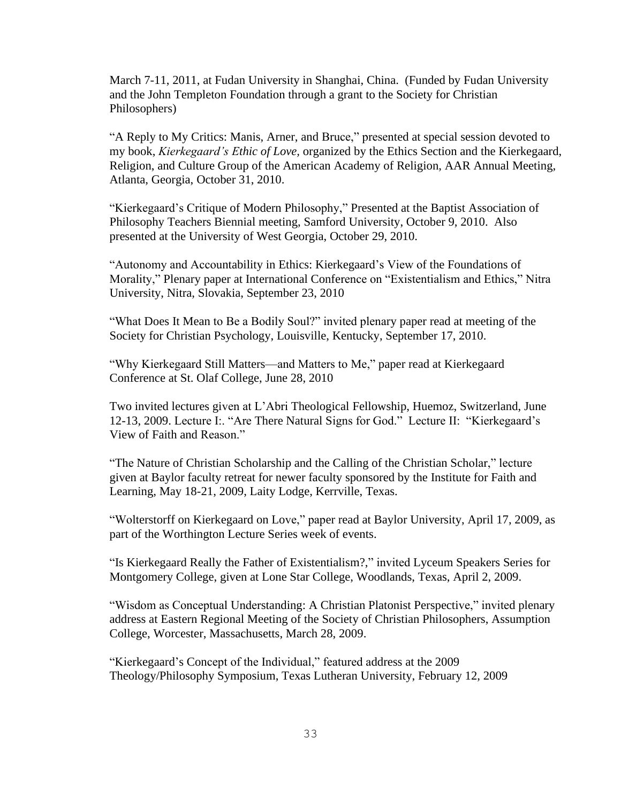March 7-11, 2011, at Fudan University in Shanghai, China. (Funded by Fudan University and the John Templeton Foundation through a grant to the Society for Christian Philosophers)

"A Reply to My Critics: Manis, Arner, and Bruce," presented at special session devoted to my book, *Kierkegaard's Ethic of Love,* organized by the Ethics Section and the Kierkegaard, Religion, and Culture Group of the American Academy of Religion, AAR Annual Meeting, Atlanta, Georgia, October 31, 2010.

"Kierkegaard's Critique of Modern Philosophy," Presented at the Baptist Association of Philosophy Teachers Biennial meeting, Samford University, October 9, 2010. Also presented at the University of West Georgia, October 29, 2010.

"Autonomy and Accountability in Ethics: Kierkegaard's View of the Foundations of Morality," Plenary paper at International Conference on "Existentialism and Ethics," Nitra University, Nitra, Slovakia, September 23, 2010

"What Does It Mean to Be a Bodily Soul?" invited plenary paper read at meeting of the Society for Christian Psychology, Louisville, Kentucky, September 17, 2010.

"Why Kierkegaard Still Matters—and Matters to Me," paper read at Kierkegaard Conference at St. Olaf College, June 28, 2010

Two invited lectures given at L'Abri Theological Fellowship, Huemoz, Switzerland, June 12-13, 2009. Lecture I:. "Are There Natural Signs for God." Lecture II: "Kierkegaard's View of Faith and Reason."

"The Nature of Christian Scholarship and the Calling of the Christian Scholar," lecture given at Baylor faculty retreat for newer faculty sponsored by the Institute for Faith and Learning, May 18-21, 2009, Laity Lodge, Kerrville, Texas.

"Wolterstorff on Kierkegaard on Love," paper read at Baylor University, April 17, 2009, as part of the Worthington Lecture Series week of events.

"Is Kierkegaard Really the Father of Existentialism?," invited Lyceum Speakers Series for Montgomery College, given at Lone Star College, Woodlands, Texas, April 2, 2009.

"Wisdom as Conceptual Understanding: A Christian Platonist Perspective," invited plenary address at Eastern Regional Meeting of the Society of Christian Philosophers, Assumption College, Worcester, Massachusetts, March 28, 2009.

"Kierkegaard's Concept of the Individual," featured address at the 2009 Theology/Philosophy Symposium, Texas Lutheran University, February 12, 2009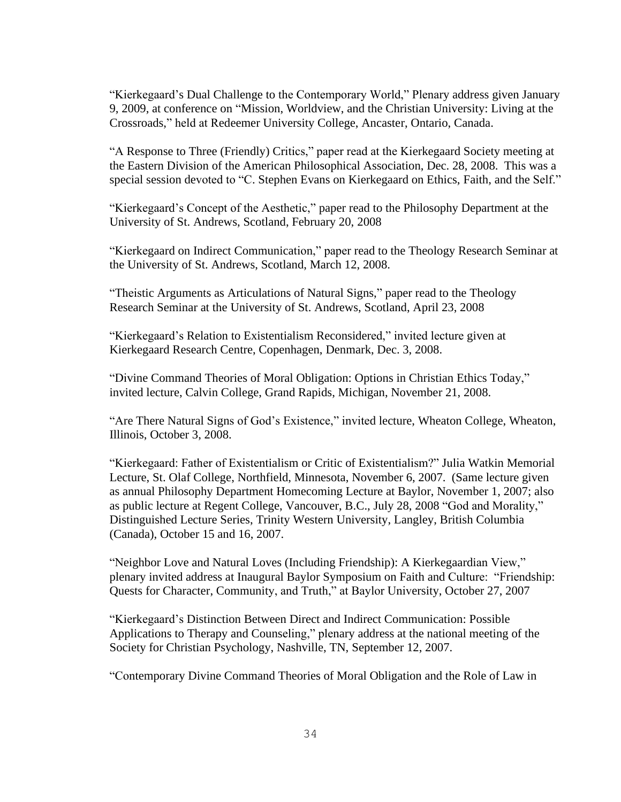"Kierkegaard's Dual Challenge to the Contemporary World," Plenary address given January 9, 2009, at conference on "Mission, Worldview, and the Christian University: Living at the Crossroads," held at Redeemer University College, Ancaster, Ontario, Canada.

"A Response to Three (Friendly) Critics," paper read at the Kierkegaard Society meeting at the Eastern Division of the American Philosophical Association, Dec. 28, 2008. This was a special session devoted to "C. Stephen Evans on Kierkegaard on Ethics, Faith, and the Self."

"Kierkegaard's Concept of the Aesthetic," paper read to the Philosophy Department at the University of St. Andrews, Scotland, February 20, 2008

"Kierkegaard on Indirect Communication," paper read to the Theology Research Seminar at the University of St. Andrews, Scotland, March 12, 2008.

"Theistic Arguments as Articulations of Natural Signs," paper read to the Theology Research Seminar at the University of St. Andrews, Scotland, April 23, 2008

"Kierkegaard's Relation to Existentialism Reconsidered," invited lecture given at Kierkegaard Research Centre, Copenhagen, Denmark, Dec. 3, 2008.

"Divine Command Theories of Moral Obligation: Options in Christian Ethics Today," invited lecture, Calvin College, Grand Rapids, Michigan, November 21, 2008.

"Are There Natural Signs of God's Existence," invited lecture, Wheaton College, Wheaton, Illinois, October 3, 2008.

"Kierkegaard: Father of Existentialism or Critic of Existentialism?" Julia Watkin Memorial Lecture, St. Olaf College, Northfield, Minnesota, November 6, 2007. (Same lecture given as annual Philosophy Department Homecoming Lecture at Baylor, November 1, 2007; also as public lecture at Regent College, Vancouver, B.C., July 28, 2008 "God and Morality," Distinguished Lecture Series, Trinity Western University, Langley, British Columbia (Canada), October 15 and 16, 2007.

"Neighbor Love and Natural Loves (Including Friendship): A Kierkegaardian View," plenary invited address at Inaugural Baylor Symposium on Faith and Culture: "Friendship: Quests for Character, Community, and Truth," at Baylor University, October 27, 2007

"Kierkegaard's Distinction Between Direct and Indirect Communication: Possible Applications to Therapy and Counseling," plenary address at the national meeting of the Society for Christian Psychology, Nashville, TN, September 12, 2007.

"Contemporary Divine Command Theories of Moral Obligation and the Role of Law in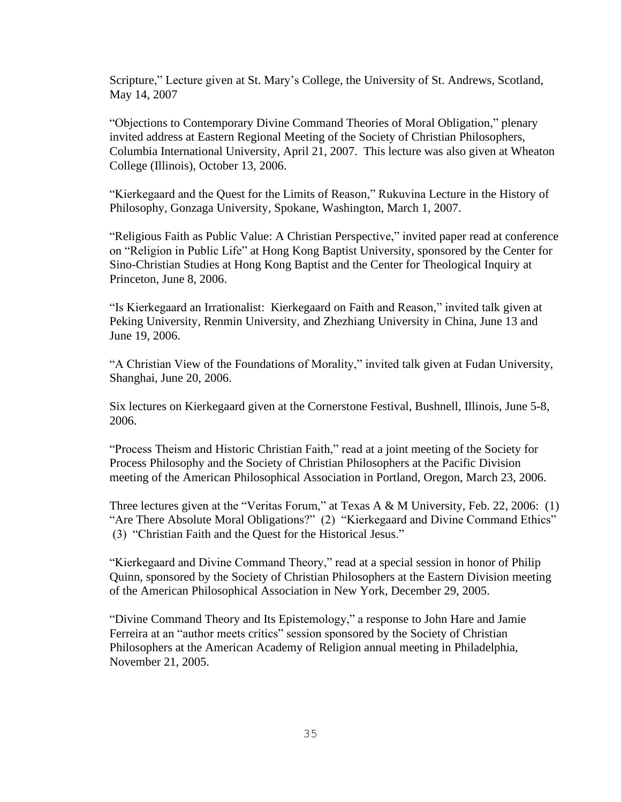Scripture," Lecture given at St. Mary's College, the University of St. Andrews, Scotland, May 14, 2007

"Objections to Contemporary Divine Command Theories of Moral Obligation," plenary invited address at Eastern Regional Meeting of the Society of Christian Philosophers, Columbia International University, April 21, 2007. This lecture was also given at Wheaton College (Illinois), October 13, 2006.

"Kierkegaard and the Quest for the Limits of Reason," Rukuvina Lecture in the History of Philosophy, Gonzaga University, Spokane, Washington, March 1, 2007.

"Religious Faith as Public Value: A Christian Perspective," invited paper read at conference on "Religion in Public Life" at Hong Kong Baptist University, sponsored by the Center for Sino-Christian Studies at Hong Kong Baptist and the Center for Theological Inquiry at Princeton, June 8, 2006.

"Is Kierkegaard an Irrationalist: Kierkegaard on Faith and Reason," invited talk given at Peking University, Renmin University, and Zhezhiang University in China, June 13 and June 19, 2006.

"A Christian View of the Foundations of Morality," invited talk given at Fudan University, Shanghai, June 20, 2006.

Six lectures on Kierkegaard given at the Cornerstone Festival, Bushnell, Illinois, June 5-8, 2006.

"Process Theism and Historic Christian Faith," read at a joint meeting of the Society for Process Philosophy and the Society of Christian Philosophers at the Pacific Division meeting of the American Philosophical Association in Portland, Oregon, March 23, 2006.

Three lectures given at the "Veritas Forum," at Texas A & M University, Feb. 22, 2006: (1) "Are There Absolute Moral Obligations?" (2) "Kierkegaard and Divine Command Ethics" (3) "Christian Faith and the Quest for the Historical Jesus."

"Kierkegaard and Divine Command Theory," read at a special session in honor of Philip Quinn, sponsored by the Society of Christian Philosophers at the Eastern Division meeting of the American Philosophical Association in New York, December 29, 2005.

"Divine Command Theory and Its Epistemology," a response to John Hare and Jamie Ferreira at an "author meets critics" session sponsored by the Society of Christian Philosophers at the American Academy of Religion annual meeting in Philadelphia, November 21, 2005.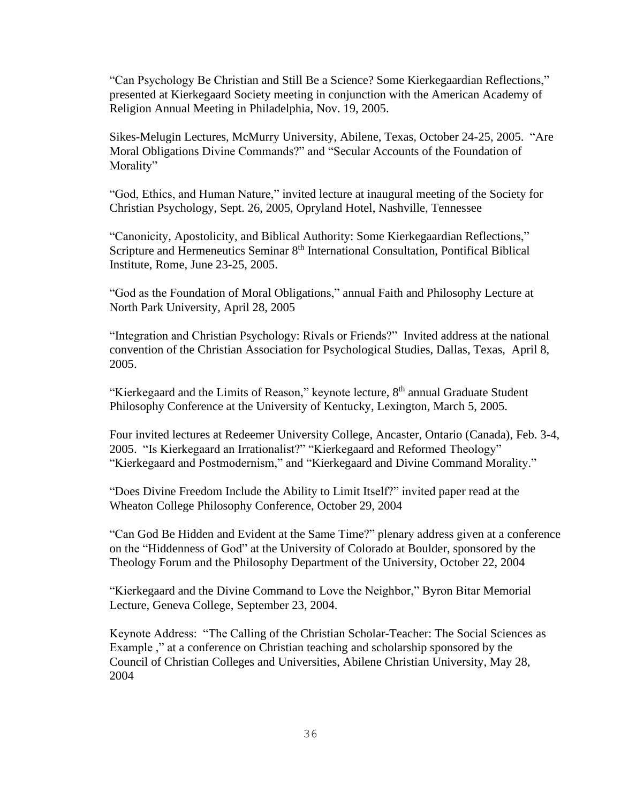"Can Psychology Be Christian and Still Be a Science? Some Kierkegaardian Reflections," presented at Kierkegaard Society meeting in conjunction with the American Academy of Religion Annual Meeting in Philadelphia, Nov. 19, 2005.

Sikes-Melugin Lectures, McMurry University, Abilene, Texas, October 24-25, 2005. "Are Moral Obligations Divine Commands?" and "Secular Accounts of the Foundation of Morality"

"God, Ethics, and Human Nature," invited lecture at inaugural meeting of the Society for Christian Psychology, Sept. 26, 2005, Opryland Hotel, Nashville, Tennessee

"Canonicity, Apostolicity, and Biblical Authority: Some Kierkegaardian Reflections," Scripture and Hermeneutics Seminar 8<sup>th</sup> International Consultation, Pontifical Biblical Institute, Rome, June 23-25, 2005.

"God as the Foundation of Moral Obligations," annual Faith and Philosophy Lecture at North Park University, April 28, 2005

"Integration and Christian Psychology: Rivals or Friends?" Invited address at the national convention of the Christian Association for Psychological Studies, Dallas, Texas, April 8, 2005.

"Kierkegaard and the Limits of Reason," keynote lecture, 8<sup>th</sup> annual Graduate Student Philosophy Conference at the University of Kentucky, Lexington, March 5, 2005.

Four invited lectures at Redeemer University College, Ancaster, Ontario (Canada), Feb. 3-4, 2005. "Is Kierkegaard an Irrationalist?" "Kierkegaard and Reformed Theology" "Kierkegaard and Postmodernism," and "Kierkegaard and Divine Command Morality."

"Does Divine Freedom Include the Ability to Limit Itself?" invited paper read at the Wheaton College Philosophy Conference, October 29, 2004

"Can God Be Hidden and Evident at the Same Time?" plenary address given at a conference on the "Hiddenness of God" at the University of Colorado at Boulder, sponsored by the Theology Forum and the Philosophy Department of the University, October 22, 2004

"Kierkegaard and the Divine Command to Love the Neighbor," Byron Bitar Memorial Lecture, Geneva College, September 23, 2004.

 Keynote Address: "The Calling of the Christian Scholar-Teacher: The Social Sciences as Example ," at a conference on Christian teaching and scholarship sponsored by the Council of Christian Colleges and Universities, Abilene Christian University, May 28, 2004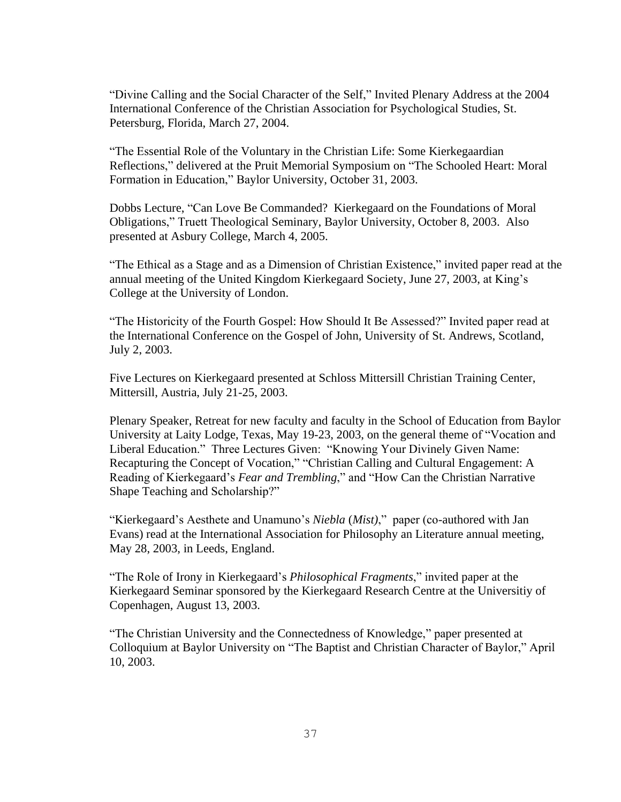"Divine Calling and the Social Character of the Self," Invited Plenary Address at the 2004 International Conference of the Christian Association for Psychological Studies, St. Petersburg, Florida, March 27, 2004.

"The Essential Role of the Voluntary in the Christian Life: Some Kierkegaardian Reflections," delivered at the Pruit Memorial Symposium on "The Schooled Heart: Moral Formation in Education," Baylor University, October 31, 2003.

Dobbs Lecture, "Can Love Be Commanded? Kierkegaard on the Foundations of Moral Obligations," Truett Theological Seminary, Baylor University, October 8, 2003. Also presented at Asbury College, March 4, 2005.

"The Ethical as a Stage and as a Dimension of Christian Existence," invited paper read at the annual meeting of the United Kingdom Kierkegaard Society, June 27, 2003, at King's College at the University of London.

"The Historicity of the Fourth Gospel: How Should It Be Assessed?" Invited paper read at the International Conference on the Gospel of John, University of St. Andrews, Scotland, July 2, 2003.

Five Lectures on Kierkegaard presented at Schloss Mittersill Christian Training Center, Mittersill, Austria, July 21-25, 2003.

Plenary Speaker, Retreat for new faculty and faculty in the School of Education from Baylor University at Laity Lodge, Texas, May 19-23, 2003, on the general theme of "Vocation and Liberal Education." Three Lectures Given: "Knowing Your Divinely Given Name: Recapturing the Concept of Vocation," "Christian Calling and Cultural Engagement: A Reading of Kierkegaard's *Fear and Trembling*," and "How Can the Christian Narrative Shape Teaching and Scholarship?"

"Kierkegaard's Aesthete and Unamuno's *Niebla* (*Mist)*," paper (co-authored with Jan Evans) read at the International Association for Philosophy an Literature annual meeting, May 28, 2003, in Leeds, England.

"The Role of Irony in Kierkegaard's *Philosophical Fragments*," invited paper at the Kierkegaard Seminar sponsored by the Kierkegaard Research Centre at the Universitiy of Copenhagen, August 13, 2003.

"The Christian University and the Connectedness of Knowledge," paper presented at Colloquium at Baylor University on "The Baptist and Christian Character of Baylor," April 10, 2003.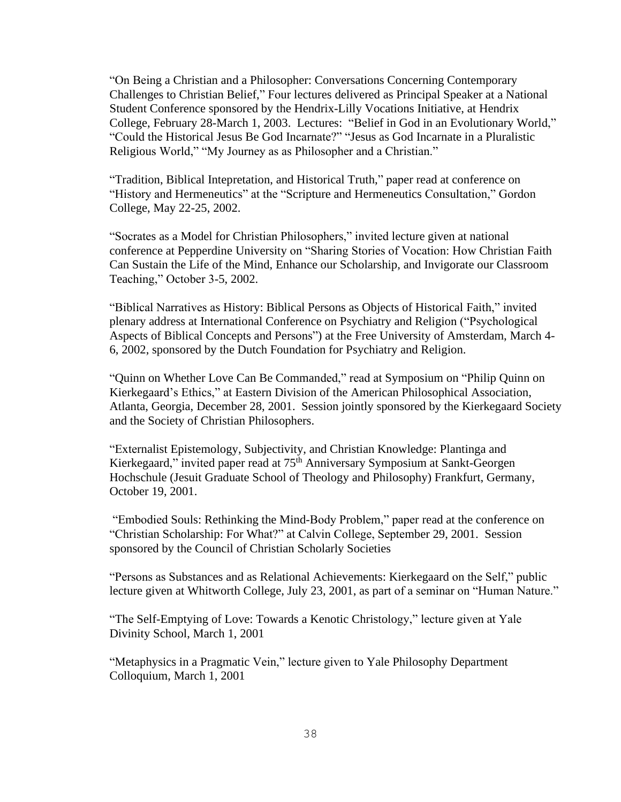"On Being a Christian and a Philosopher: Conversations Concerning Contemporary Challenges to Christian Belief," Four lectures delivered as Principal Speaker at a National Student Conference sponsored by the Hendrix-Lilly Vocations Initiative, at Hendrix College, February 28-March 1, 2003. Lectures: "Belief in God in an Evolutionary World," "Could the Historical Jesus Be God Incarnate?" "Jesus as God Incarnate in a Pluralistic Religious World," "My Journey as as Philosopher and a Christian."

"Tradition, Biblical Intepretation, and Historical Truth," paper read at conference on "History and Hermeneutics" at the "Scripture and Hermeneutics Consultation," Gordon College, May 22-25, 2002.

"Socrates as a Model for Christian Philosophers," invited lecture given at national conference at Pepperdine University on "Sharing Stories of Vocation: How Christian Faith Can Sustain the Life of the Mind, Enhance our Scholarship, and Invigorate our Classroom Teaching," October 3-5, 2002.

"Biblical Narratives as History: Biblical Persons as Objects of Historical Faith," invited plenary address at International Conference on Psychiatry and Religion ("Psychological Aspects of Biblical Concepts and Persons") at the Free University of Amsterdam, March 4- 6, 2002, sponsored by the Dutch Foundation for Psychiatry and Religion.

"Quinn on Whether Love Can Be Commanded," read at Symposium on "Philip Quinn on Kierkegaard's Ethics," at Eastern Division of the American Philosophical Association, Atlanta, Georgia, December 28, 2001. Session jointly sponsored by the Kierkegaard Society and the Society of Christian Philosophers.

"Externalist Epistemology, Subjectivity, and Christian Knowledge: Plantinga and Kierkegaard," invited paper read at 75<sup>th</sup> Anniversary Symposium at Sankt-Georgen Hochschule (Jesuit Graduate School of Theology and Philosophy) Frankfurt, Germany, October 19, 2001.

"Embodied Souls: Rethinking the Mind-Body Problem," paper read at the conference on "Christian Scholarship: For What?" at Calvin College, September 29, 2001. Session sponsored by the Council of Christian Scholarly Societies

"Persons as Substances and as Relational Achievements: Kierkegaard on the Self," public lecture given at Whitworth College, July 23, 2001, as part of a seminar on "Human Nature."

"The Self-Emptying of Love: Towards a Kenotic Christology," lecture given at Yale Divinity School, March 1, 2001

"Metaphysics in a Pragmatic Vein," lecture given to Yale Philosophy Department Colloquium, March 1, 2001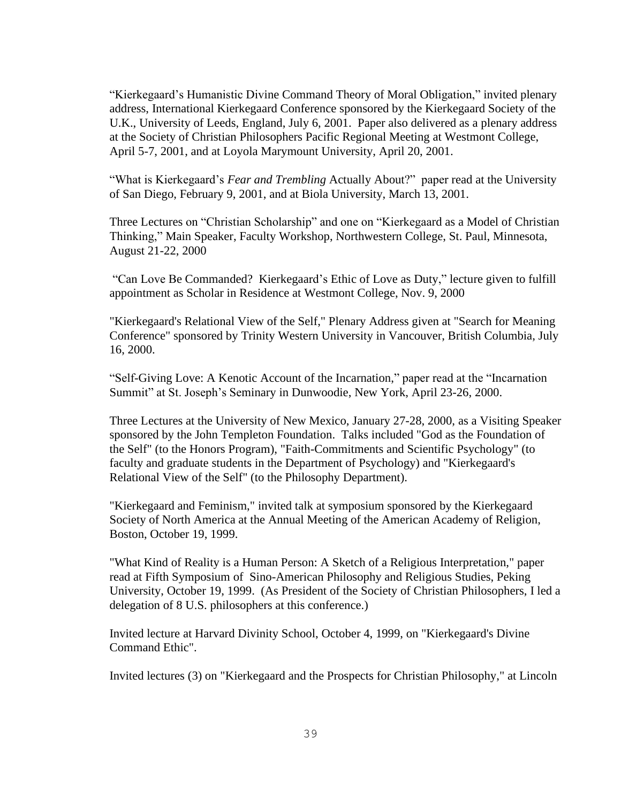"Kierkegaard's Humanistic Divine Command Theory of Moral Obligation," invited plenary address, International Kierkegaard Conference sponsored by the Kierkegaard Society of the U.K., University of Leeds, England, July 6, 2001. Paper also delivered as a plenary address at the Society of Christian Philosophers Pacific Regional Meeting at Westmont College, April 5-7, 2001, and at Loyola Marymount University, April 20, 2001.

"What is Kierkegaard's *Fear and Trembling* Actually About?" paper read at the University of San Diego, February 9, 2001, and at Biola University, March 13, 2001.

Three Lectures on "Christian Scholarship" and one on "Kierkegaard as a Model of Christian Thinking," Main Speaker, Faculty Workshop, Northwestern College, St. Paul, Minnesota, August 21-22, 2000

"Can Love Be Commanded? Kierkegaard's Ethic of Love as Duty," lecture given to fulfill appointment as Scholar in Residence at Westmont College, Nov. 9, 2000

"Kierkegaard's Relational View of the Self," Plenary Address given at "Search for Meaning Conference" sponsored by Trinity Western University in Vancouver, British Columbia, July 16, 2000.

"Self-Giving Love: A Kenotic Account of the Incarnation," paper read at the "Incarnation Summit" at St. Joseph's Seminary in Dunwoodie, New York, April 23-26, 2000.

Three Lectures at the University of New Mexico, January 27-28, 2000, as a Visiting Speaker sponsored by the John Templeton Foundation. Talks included "God as the Foundation of the Self" (to the Honors Program), "Faith-Commitments and Scientific Psychology" (to faculty and graduate students in the Department of Psychology) and "Kierkegaard's Relational View of the Self" (to the Philosophy Department).

"Kierkegaard and Feminism," invited talk at symposium sponsored by the Kierkegaard Society of North America at the Annual Meeting of the American Academy of Religion, Boston, October 19, 1999.

"What Kind of Reality is a Human Person: A Sketch of a Religious Interpretation," paper read at Fifth Symposium of Sino-American Philosophy and Religious Studies, Peking University, October 19, 1999. (As President of the Society of Christian Philosophers, I led a delegation of 8 U.S. philosophers at this conference.)

Invited lecture at Harvard Divinity School, October 4, 1999, on "Kierkegaard's Divine Command Ethic".

Invited lectures (3) on "Kierkegaard and the Prospects for Christian Philosophy," at Lincoln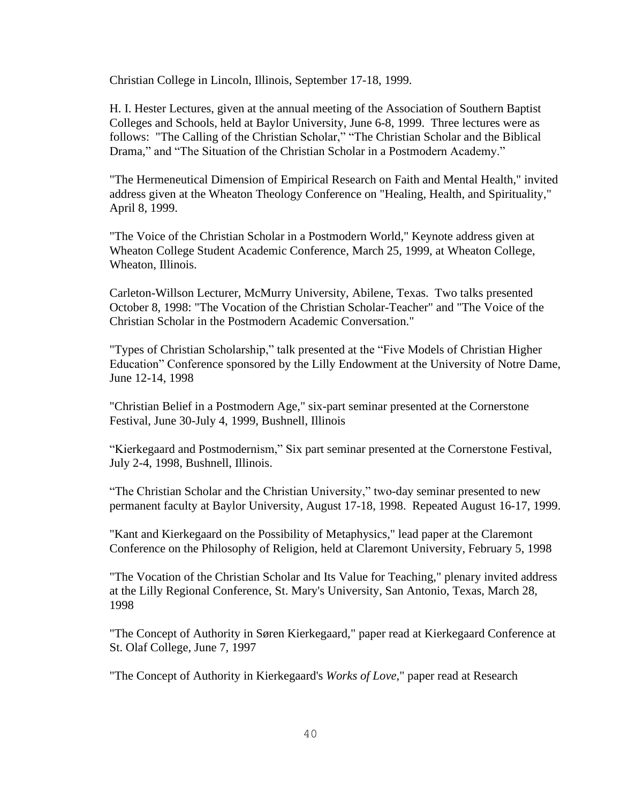Christian College in Lincoln, Illinois, September 17-18, 1999.

H. I. Hester Lectures, given at the annual meeting of the Association of Southern Baptist Colleges and Schools, held at Baylor University, June 6-8, 1999. Three lectures were as follows: "The Calling of the Christian Scholar," "The Christian Scholar and the Biblical Drama," and "The Situation of the Christian Scholar in a Postmodern Academy."

"The Hermeneutical Dimension of Empirical Research on Faith and Mental Health," invited address given at the Wheaton Theology Conference on "Healing, Health, and Spirituality," April 8, 1999.

"The Voice of the Christian Scholar in a Postmodern World," Keynote address given at Wheaton College Student Academic Conference, March 25, 1999, at Wheaton College, Wheaton, Illinois.

Carleton-Willson Lecturer, McMurry University, Abilene, Texas. Two talks presented October 8, 1998: "The Vocation of the Christian Scholar-Teacher" and "The Voice of the Christian Scholar in the Postmodern Academic Conversation."

"Types of Christian Scholarship," talk presented at the "Five Models of Christian Higher Education" Conference sponsored by the Lilly Endowment at the University of Notre Dame, June 12-14, 1998

"Christian Belief in a Postmodern Age," six-part seminar presented at the Cornerstone Festival, June 30-July 4, 1999, Bushnell, Illinois

"Kierkegaard and Postmodernism," Six part seminar presented at the Cornerstone Festival, July 2-4, 1998, Bushnell, Illinois.

"The Christian Scholar and the Christian University," two-day seminar presented to new permanent faculty at Baylor University, August 17-18, 1998. Repeated August 16-17, 1999.

"Kant and Kierkegaard on the Possibility of Metaphysics," lead paper at the Claremont Conference on the Philosophy of Religion, held at Claremont University, February 5, 1998

"The Vocation of the Christian Scholar and Its Value for Teaching," plenary invited address at the Lilly Regional Conference, St. Mary's University, San Antonio, Texas, March 28, 1998

"The Concept of Authority in Søren Kierkegaard," paper read at Kierkegaard Conference at St. Olaf College, June 7, 1997

"The Concept of Authority in Kierkegaard's *Works of Love*," paper read at Research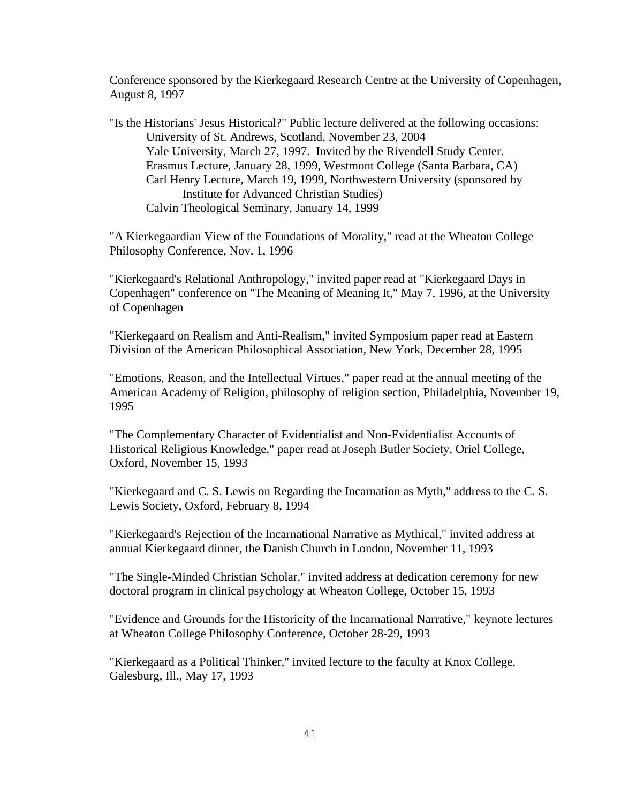Conference sponsored by the Kierkegaard Research Centre at the University of Copenhagen, August 8, 1997

"Is the Historians' Jesus Historical?" Public lecture delivered at the following occasions: University of St. Andrews, Scotland, November 23, 2004 Yale University, March 27, 1997. Invited by the Rivendell Study Center. Erasmus Lecture, January 28, 1999, Westmont College (Santa Barbara, CA) Carl Henry Lecture, March 19, 1999, Northwestern University (sponsored by Institute for Advanced Christian Studies) Calvin Theological Seminary, January 14, 1999

"A Kierkegaardian View of the Foundations of Morality," read at the Wheaton College Philosophy Conference, Nov. 1, 1996

"Kierkegaard's Relational Anthropology," invited paper read at "Kierkegaard Days in Copenhagen" conference on "The Meaning of Meaning It," May 7, 1996, at the University of Copenhagen

"Kierkegaard on Realism and Anti-Realism," invited Symposium paper read at Eastern Division of the American Philosophical Association, New York, December 28, 1995

"Emotions, Reason, and the Intellectual Virtues," paper read at the annual meeting of the American Academy of Religion, philosophy of religion section, Philadelphia, November 19, 1995

"The Complementary Character of Evidentialist and Non-Evidentialist Accounts of Historical Religious Knowledge," paper read at Joseph Butler Society, Oriel College, Oxford, November 15, 1993

"Kierkegaard and C. S. Lewis on Regarding the Incarnation as Myth," address to the C. S. Lewis Society, Oxford, February 8, 1994

"Kierkegaard's Rejection of the Incarnational Narrative as Mythical," invited address at annual Kierkegaard dinner, the Danish Church in London, November 11, 1993

"The Single-Minded Christian Scholar," invited address at dedication ceremony for new doctoral program in clinical psychology at Wheaton College, October 15, 1993

"Evidence and Grounds for the Historicity of the Incarnational Narrative," keynote lectures at Wheaton College Philosophy Conference, October 28-29, 1993

"Kierkegaard as a Political Thinker," invited lecture to the faculty at Knox College, Galesburg, Ill., May 17, 1993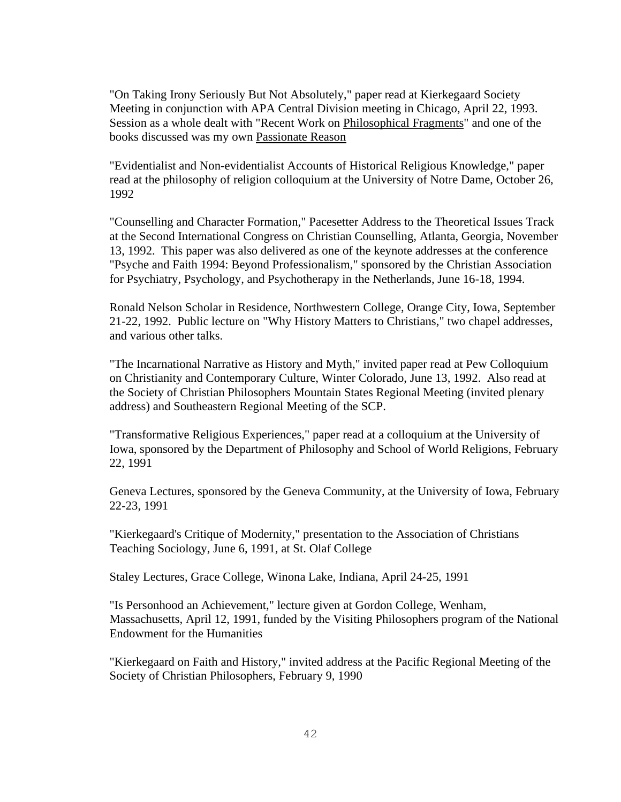"On Taking Irony Seriously But Not Absolutely," paper read at Kierkegaard Society Meeting in conjunction with APA Central Division meeting in Chicago, April 22, 1993. Session as a whole dealt with "Recent Work on Philosophical Fragments" and one of the books discussed was my own Passionate Reason

"Evidentialist and Non-evidentialist Accounts of Historical Religious Knowledge," paper read at the philosophy of religion colloquium at the University of Notre Dame, October 26, 1992

"Counselling and Character Formation," Pacesetter Address to the Theoretical Issues Track at the Second International Congress on Christian Counselling, Atlanta, Georgia, November 13, 1992. This paper was also delivered as one of the keynote addresses at the conference "Psyche and Faith 1994: Beyond Professionalism," sponsored by the Christian Association for Psychiatry, Psychology, and Psychotherapy in the Netherlands, June 16-18, 1994.

Ronald Nelson Scholar in Residence, Northwestern College, Orange City, Iowa, September 21-22, 1992. Public lecture on "Why History Matters to Christians," two chapel addresses, and various other talks.

"The Incarnational Narrative as History and Myth," invited paper read at Pew Colloquium on Christianity and Contemporary Culture, Winter Colorado, June 13, 1992. Also read at the Society of Christian Philosophers Mountain States Regional Meeting (invited plenary address) and Southeastern Regional Meeting of the SCP.

"Transformative Religious Experiences," paper read at a colloquium at the University of Iowa, sponsored by the Department of Philosophy and School of World Religions, February 22, 1991

Geneva Lectures, sponsored by the Geneva Community, at the University of Iowa, February 22-23, 1991

"Kierkegaard's Critique of Modernity," presentation to the Association of Christians Teaching Sociology, June 6, 1991, at St. Olaf College

Staley Lectures, Grace College, Winona Lake, Indiana, April 24-25, 1991

"Is Personhood an Achievement," lecture given at Gordon College, Wenham, Massachusetts, April 12, 1991, funded by the Visiting Philosophers program of the National Endowment for the Humanities

"Kierkegaard on Faith and History," invited address at the Pacific Regional Meeting of the Society of Christian Philosophers, February 9, 1990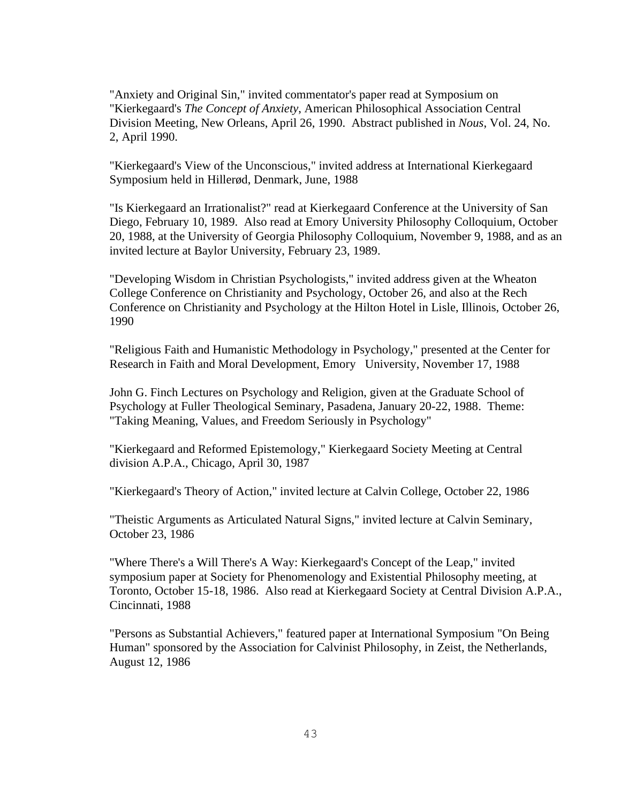"Anxiety and Original Sin," invited commentator's paper read at Symposium on "Kierkegaard's *The Concept of Anxiety*, American Philosophical Association Central Division Meeting, New Orleans, April 26, 1990. Abstract published in *Nous*, Vol. 24, No. 2, April 1990.

"Kierkegaard's View of the Unconscious," invited address at International Kierkegaard Symposium held in Hillerød, Denmark, June, 1988

"Is Kierkegaard an Irrationalist?" read at Kierkegaard Conference at the University of San Diego, February 10, 1989. Also read at Emory University Philosophy Colloquium, October 20, 1988, at the University of Georgia Philosophy Colloquium, November 9, 1988, and as an invited lecture at Baylor University, February 23, 1989.

"Developing Wisdom in Christian Psychologists," invited address given at the Wheaton College Conference on Christianity and Psychology, October 26, and also at the Rech Conference on Christianity and Psychology at the Hilton Hotel in Lisle, Illinois, October 26, 1990

"Religious Faith and Humanistic Methodology in Psychology," presented at the Center for Research in Faith and Moral Development, Emory University, November 17, 1988

John G. Finch Lectures on Psychology and Religion, given at the Graduate School of Psychology at Fuller Theological Seminary, Pasadena, January 20-22, 1988. Theme: "Taking Meaning, Values, and Freedom Seriously in Psychology"

"Kierkegaard and Reformed Epistemology," Kierkegaard Society Meeting at Central division A.P.A., Chicago, April 30, 1987

"Kierkegaard's Theory of Action," invited lecture at Calvin College, October 22, 1986

"Theistic Arguments as Articulated Natural Signs," invited lecture at Calvin Seminary, October 23, 1986

"Where There's a Will There's A Way: Kierkegaard's Concept of the Leap," invited symposium paper at Society for Phenomenology and Existential Philosophy meeting, at Toronto, October 15-18, 1986. Also read at Kierkegaard Society at Central Division A.P.A., Cincinnati, 1988

"Persons as Substantial Achievers," featured paper at International Symposium "On Being Human" sponsored by the Association for Calvinist Philosophy, in Zeist, the Netherlands, August 12, 1986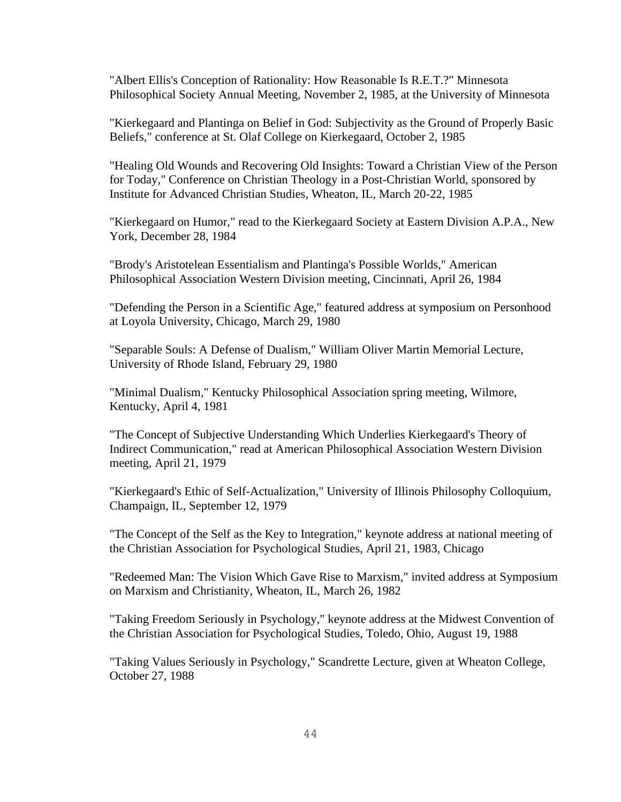"Albert Ellis's Conception of Rationality: How Reasonable Is R.E.T.?" Minnesota Philosophical Society Annual Meeting, November 2, 1985, at the University of Minnesota

"Kierkegaard and Plantinga on Belief in God: Subjectivity as the Ground of Properly Basic Beliefs," conference at St. Olaf College on Kierkegaard, October 2, 1985

"Healing Old Wounds and Recovering Old Insights: Toward a Christian View of the Person for Today," Conference on Christian Theology in a Post-Christian World, sponsored by Institute for Advanced Christian Studies, Wheaton, IL, March 20-22, 1985

"Kierkegaard on Humor," read to the Kierkegaard Society at Eastern Division A.P.A., New York, December 28, 1984

"Brody's Aristotelean Essentialism and Plantinga's Possible Worlds," American Philosophical Association Western Division meeting, Cincinnati, April 26, 1984

"Defending the Person in a Scientific Age," featured address at symposium on Personhood at Loyola University, Chicago, March 29, 1980

"Separable Souls: A Defense of Dualism," William Oliver Martin Memorial Lecture, University of Rhode Island, February 29, 1980

"Minimal Dualism," Kentucky Philosophical Association spring meeting, Wilmore, Kentucky, April 4, 1981

"The Concept of Subjective Understanding Which Underlies Kierkegaard's Theory of Indirect Communication," read at American Philosophical Association Western Division meeting, April 21, 1979

"Kierkegaard's Ethic of Self-Actualization," University of Illinois Philosophy Colloquium, Champaign, IL, September 12, 1979

"The Concept of the Self as the Key to Integration," keynote address at national meeting of the Christian Association for Psychological Studies, April 21, 1983, Chicago

"Redeemed Man: The Vision Which Gave Rise to Marxism," invited address at Symposium on Marxism and Christianity, Wheaton, IL, March 26, 1982

"Taking Freedom Seriously in Psychology," keynote address at the Midwest Convention of the Christian Association for Psychological Studies, Toledo, Ohio, August 19, 1988

"Taking Values Seriously in Psychology," Scandrette Lecture, given at Wheaton College, October 27, 1988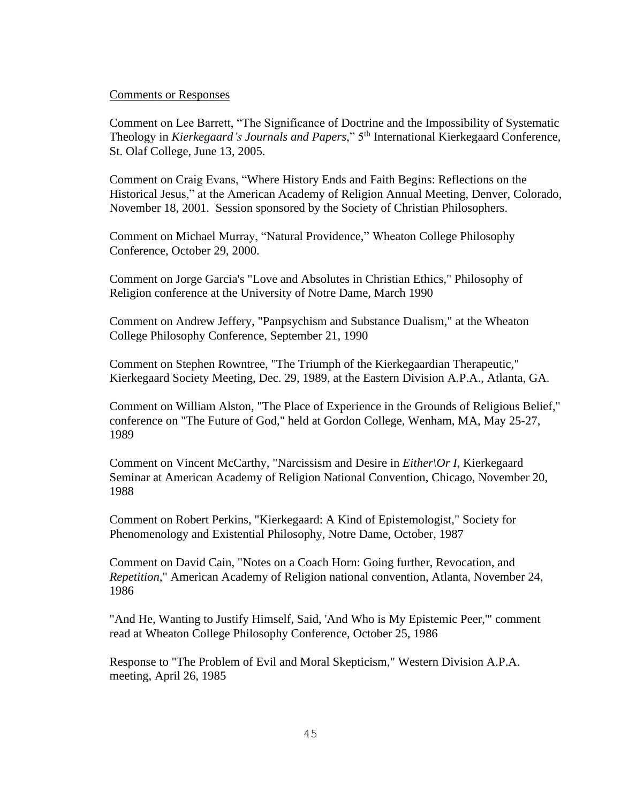#### Comments or Responses

Comment on Lee Barrett, "The Significance of Doctrine and the Impossibility of Systematic Theology in *Kierkegaard's Journals and Papers*," 5th International Kierkegaard Conference, St. Olaf College, June 13, 2005.

Comment on Craig Evans, "Where History Ends and Faith Begins: Reflections on the Historical Jesus," at the American Academy of Religion Annual Meeting, Denver, Colorado, November 18, 2001. Session sponsored by the Society of Christian Philosophers.

Comment on Michael Murray, "Natural Providence," Wheaton College Philosophy Conference, October 29, 2000.

Comment on Jorge Garcia's "Love and Absolutes in Christian Ethics," Philosophy of Religion conference at the University of Notre Dame, March 1990

Comment on Andrew Jeffery, "Panpsychism and Substance Dualism," at the Wheaton College Philosophy Conference, September 21, 1990

Comment on Stephen Rowntree, "The Triumph of the Kierkegaardian Therapeutic," Kierkegaard Society Meeting, Dec. 29, 1989, at the Eastern Division A.P.A., Atlanta, GA.

Comment on William Alston, "The Place of Experience in the Grounds of Religious Belief," conference on "The Future of God," held at Gordon College, Wenham, MA, May 25-27, 1989

Comment on Vincent McCarthy, "Narcissism and Desire in *Either\Or I*, Kierkegaard Seminar at American Academy of Religion National Convention, Chicago, November 20, 1988

Comment on Robert Perkins, "Kierkegaard: A Kind of Epistemologist," Society for Phenomenology and Existential Philosophy, Notre Dame, October, 1987

Comment on David Cain, "Notes on a Coach Horn: Going further, Revocation, and *Repetition*," American Academy of Religion national convention, Atlanta, November 24, 1986

"And He, Wanting to Justify Himself, Said, 'And Who is My Epistemic Peer,'" comment read at Wheaton College Philosophy Conference, October 25, 1986

Response to "The Problem of Evil and Moral Skepticism," Western Division A.P.A. meeting, April 26, 1985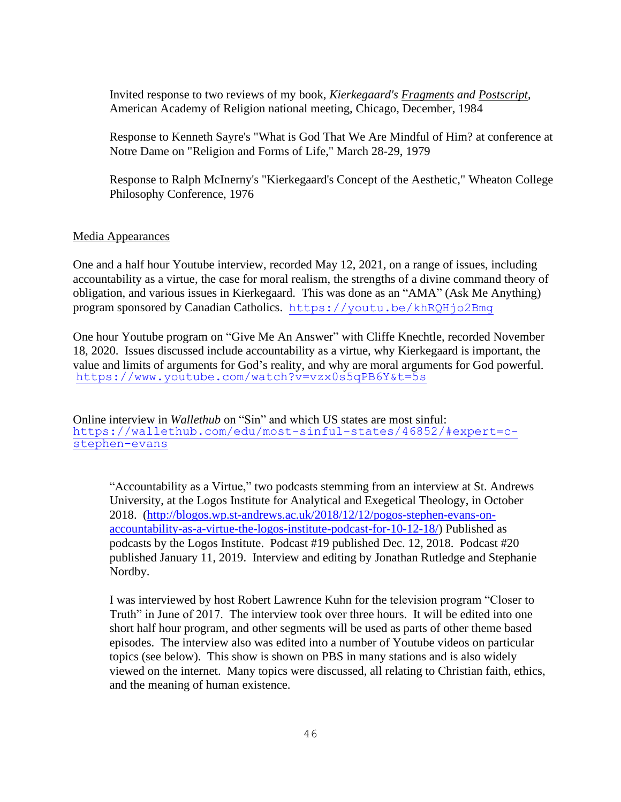Invited response to two reviews of my book, *Kierkegaard's Fragments and Postscript*, American Academy of Religion national meeting, Chicago, December, 1984

Response to Kenneth Sayre's "What is God That We Are Mindful of Him? at conference at Notre Dame on "Religion and Forms of Life," March 28-29, 1979

Response to Ralph McInerny's "Kierkegaard's Concept of the Aesthetic," Wheaton College Philosophy Conference, 1976

# Media Appearances

One and a half hour Youtube interview, recorded May 12, 2021, on a range of issues, including accountability as a virtue, the case for moral realism, the strengths of a divine command theory of obligation, and various issues in Kierkegaard. This was done as an "AMA" (Ask Me Anything) program sponsored by Canadian Catholics. [https://youtu.be/khRQHjo2Bmg](https://nam02.safelinks.protection.outlook.com/?url=https%3A%2F%2Fyoutu.be%2FkhRQHjo2Bmg&data=04%7C01%7CC_Stephen_Evans%40baylor.edu%7C47d4e692aa0e44e4466008d915a05ac7%7C22d2fb35256a459bbcf4dc23d42dc0a4%7C0%7C0%7C637564600891323505%7CUnknown%7CTWFpbGZsb3d8eyJWIjoiMC4wLjAwMDAiLCJQIjoiV2luMzIiLCJBTiI6Ik1haWwiLCJXVCI6Mn0%3D%7C2000&sdata=mwTOsxjrZU3WMcPRM%2B53Vi79ukjunJ9M7FOjUrBvvd4%3D&reserved=0)

One hour Youtube program on "Give Me An Answer" with Cliffe Knechtle, recorded November 18, 2020. Issues discussed include accountability as a virtue, why Kierkegaard is important, the value and limits of arguments for God's reality, and why are moral arguments for God powerful. <https://www.youtube.com/watch?v=vzx0s5qPB6Y&t=5s>

Online interview in *Wallethub* on "Sin" and which US states are most sinful: [https://wallethub.com/edu/most-sinful-states/46852/#expert=c](https://na01.safelinks.protection.outlook.com/?url=https%3A%2F%2Fwallethub.com%2Fedu%2Fmost-sinful-states%2F46852%2F%23expert%3Dc-stephen-evans&data=01%7C01%7CC_Stephen_Evans%40baylor.edu%7C85927185d3cc4f89eeb708d6981428d3%7C22d2fb35256a459bbcf4dc23d42dc0a4%7C0&sdata=VsOsqvOeS0mDNbyEMQJtgqqpjrebwUTRNklsHbja3WQ%3D&reserved=0)[stephen-evans](https://na01.safelinks.protection.outlook.com/?url=https%3A%2F%2Fwallethub.com%2Fedu%2Fmost-sinful-states%2F46852%2F%23expert%3Dc-stephen-evans&data=01%7C01%7CC_Stephen_Evans%40baylor.edu%7C85927185d3cc4f89eeb708d6981428d3%7C22d2fb35256a459bbcf4dc23d42dc0a4%7C0&sdata=VsOsqvOeS0mDNbyEMQJtgqqpjrebwUTRNklsHbja3WQ%3D&reserved=0)

"Accountability as a Virtue," two podcasts stemming from an interview at St. Andrews University, at the Logos Institute for Analytical and Exegetical Theology, in October 2018. [\(http://blogos.wp.st-andrews.ac.uk/2018/12/12/pogos-stephen-evans-on](http://blogos.wp.st-andrews.ac.uk/2018/12/12/pogos-stephen-evans-on-accountability-as-a-virtue-the-logos-institute-podcast-for-10-12-18/)[accountability-as-a-virtue-the-logos-institute-podcast-for-10-12-18/\)](http://blogos.wp.st-andrews.ac.uk/2018/12/12/pogos-stephen-evans-on-accountability-as-a-virtue-the-logos-institute-podcast-for-10-12-18/) Published as podcasts by the Logos Institute. Podcast #19 published Dec. 12, 2018. Podcast #20 published January 11, 2019. Interview and editing by Jonathan Rutledge and Stephanie Nordby.

I was interviewed by host Robert Lawrence Kuhn for the television program "Closer to Truth" in June of 2017. The interview took over three hours. It will be edited into one short half hour program, and other segments will be used as parts of other theme based episodes. The interview also was edited into a number of Youtube videos on particular topics (see below). This show is shown on PBS in many stations and is also widely viewed on the internet. Many topics were discussed, all relating to Christian faith, ethics, and the meaning of human existence.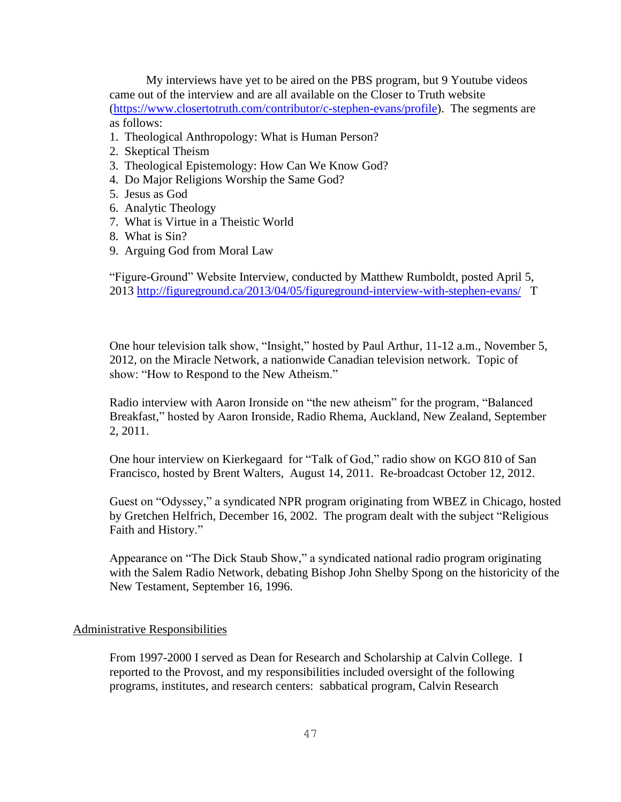My interviews have yet to be aired on the PBS program, but 9 Youtube videos came out of the interview and are all available on the Closer to Truth website [\(https://www.closertotruth.com/contributor/c-stephen-evans/profile\)](https://www.closertotruth.com/contributor/c-stephen-evans/profile). The segments are as follows:

- 1. Theological Anthropology: What is Human Person?
- 2. Skeptical Theism
- 3. Theological Epistemology: How Can We Know God?
- 4. Do Major Religions Worship the Same God?
- 5. Jesus as God
- 6. Analytic Theology
- 7. What is Virtue in a Theistic World
- 8. What is Sin?
- 9. Arguing God from Moral Law

"Figure-Ground" Website Interview, conducted by Matthew Rumboldt, posted April 5, 2013 <http://figureground.ca/2013/04/05/figureground-interview-with-stephen-evans/>T

One hour television talk show, "Insight," hosted by Paul Arthur, 11-12 a.m., November 5, 2012, on the Miracle Network, a nationwide Canadian television network. Topic of show: "How to Respond to the New Atheism."

Radio interview with Aaron Ironside on "the new atheism" for the program, "Balanced Breakfast," hosted by Aaron Ironside, Radio Rhema, Auckland, New Zealand, September 2, 2011.

One hour interview on Kierkegaard for "Talk of God," radio show on KGO 810 of San Francisco, hosted by Brent Walters, August 14, 2011. Re-broadcast October 12, 2012.

Guest on "Odyssey," a syndicated NPR program originating from WBEZ in Chicago, hosted by Gretchen Helfrich, December 16, 2002. The program dealt with the subject "Religious Faith and History."

Appearance on "The Dick Staub Show," a syndicated national radio program originating with the Salem Radio Network, debating Bishop John Shelby Spong on the historicity of the New Testament, September 16, 1996.

## Administrative Responsibilities

From 1997-2000 I served as Dean for Research and Scholarship at Calvin College. I reported to the Provost, and my responsibilities included oversight of the following programs, institutes, and research centers: sabbatical program, Calvin Research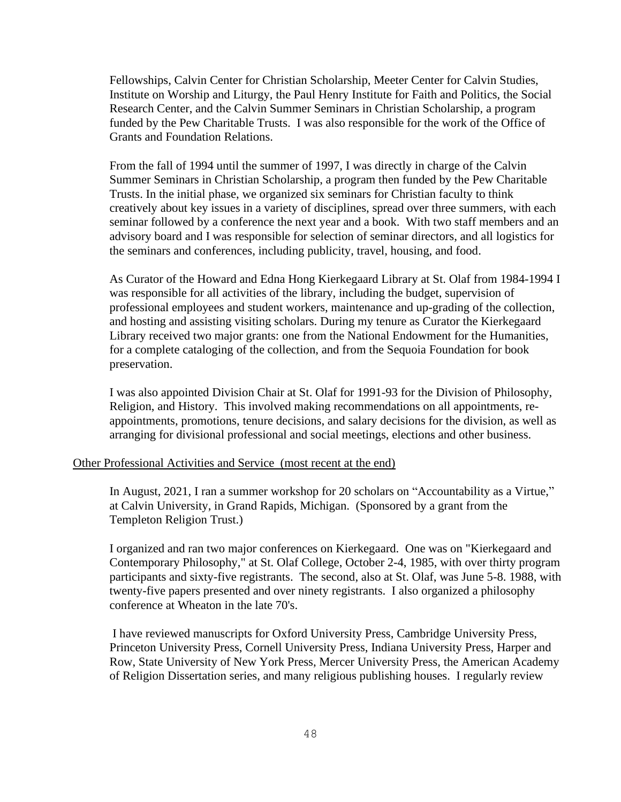Fellowships, Calvin Center for Christian Scholarship, Meeter Center for Calvin Studies, Institute on Worship and Liturgy, the Paul Henry Institute for Faith and Politics, the Social Research Center, and the Calvin Summer Seminars in Christian Scholarship, a program funded by the Pew Charitable Trusts. I was also responsible for the work of the Office of Grants and Foundation Relations.

From the fall of 1994 until the summer of 1997, I was directly in charge of the Calvin Summer Seminars in Christian Scholarship, a program then funded by the Pew Charitable Trusts. In the initial phase, we organized six seminars for Christian faculty to think creatively about key issues in a variety of disciplines, spread over three summers, with each seminar followed by a conference the next year and a book. With two staff members and an advisory board and I was responsible for selection of seminar directors, and all logistics for the seminars and conferences, including publicity, travel, housing, and food.

As Curator of the Howard and Edna Hong Kierkegaard Library at St. Olaf from 1984-1994 I was responsible for all activities of the library, including the budget, supervision of professional employees and student workers, maintenance and up-grading of the collection, and hosting and assisting visiting scholars. During my tenure as Curator the Kierkegaard Library received two major grants: one from the National Endowment for the Humanities, for a complete cataloging of the collection, and from the Sequoia Foundation for book preservation.

I was also appointed Division Chair at St. Olaf for 1991-93 for the Division of Philosophy, Religion, and History. This involved making recommendations on all appointments, reappointments, promotions, tenure decisions, and salary decisions for the division, as well as arranging for divisional professional and social meetings, elections and other business.

#### Other Professional Activities and Service (most recent at the end)

In August, 2021, I ran a summer workshop for 20 scholars on "Accountability as a Virtue," at Calvin University, in Grand Rapids, Michigan. (Sponsored by a grant from the Templeton Religion Trust.)

I organized and ran two major conferences on Kierkegaard. One was on "Kierkegaard and Contemporary Philosophy," at St. Olaf College, October 2-4, 1985, with over thirty program participants and sixty-five registrants. The second, also at St. Olaf, was June 5-8. 1988, with twenty-five papers presented and over ninety registrants. I also organized a philosophy conference at Wheaton in the late 70's.

I have reviewed manuscripts for Oxford University Press, Cambridge University Press, Princeton University Press, Cornell University Press, Indiana University Press, Harper and Row, State University of New York Press, Mercer University Press, the American Academy of Religion Dissertation series, and many religious publishing houses. I regularly review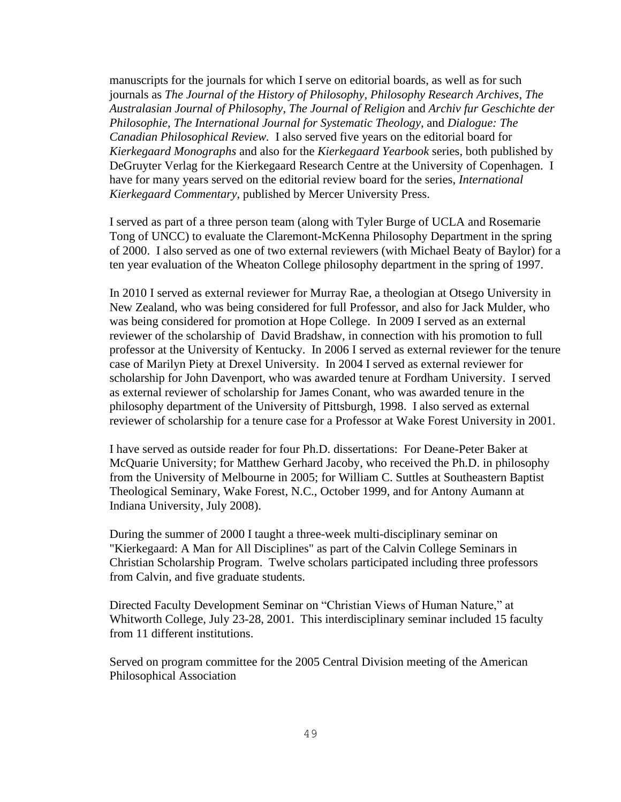manuscripts for the journals for which I serve on editorial boards, as well as for such journals as *The Journal of the History of Philosophy, Philosophy Research Archives*, *The Australasian Journal of Philosophy*, *The Journal of Religion* and *Archiv fur Geschichte der Philosophie*, *The International Journal for Systematic Theology,* and *Dialogue: The Canadian Philosophical Review.* I also served five years on the editorial board for *Kierkegaard Monographs* and also for the *Kierkegaard Yearbook* series, both published by DeGruyter Verlag for the Kierkegaard Research Centre at the University of Copenhagen. I have for many years served on the editorial review board for the series, *International Kierkegaard Commentary*, published by Mercer University Press.

I served as part of a three person team (along with Tyler Burge of UCLA and Rosemarie Tong of UNCC) to evaluate the Claremont-McKenna Philosophy Department in the spring of 2000. I also served as one of two external reviewers (with Michael Beaty of Baylor) for a ten year evaluation of the Wheaton College philosophy department in the spring of 1997.

In 2010 I served as external reviewer for Murray Rae, a theologian at Otsego University in New Zealand, who was being considered for full Professor, and also for Jack Mulder, who was being considered for promotion at Hope College. In 2009 I served as an external reviewer of the scholarship of David Bradshaw, in connection with his promotion to full professor at the University of Kentucky. In 2006 I served as external reviewer for the tenure case of Marilyn Piety at Drexel University. In 2004 I served as external reviewer for scholarship for John Davenport, who was awarded tenure at Fordham University. I served as external reviewer of scholarship for James Conant, who was awarded tenure in the philosophy department of the University of Pittsburgh, 1998. I also served as external reviewer of scholarship for a tenure case for a Professor at Wake Forest University in 2001.

I have served as outside reader for four Ph.D. dissertations: For Deane-Peter Baker at McQuarie University; for Matthew Gerhard Jacoby, who received the Ph.D. in philosophy from the University of Melbourne in 2005; for William C. Suttles at Southeastern Baptist Theological Seminary, Wake Forest, N.C., October 1999, and for Antony Aumann at Indiana University, July 2008).

During the summer of 2000 I taught a three-week multi-disciplinary seminar on "Kierkegaard: A Man for All Disciplines" as part of the Calvin College Seminars in Christian Scholarship Program. Twelve scholars participated including three professors from Calvin, and five graduate students.

Directed Faculty Development Seminar on "Christian Views of Human Nature," at Whitworth College, July 23-28, 2001. This interdisciplinary seminar included 15 faculty from 11 different institutions.

Served on program committee for the 2005 Central Division meeting of the American Philosophical Association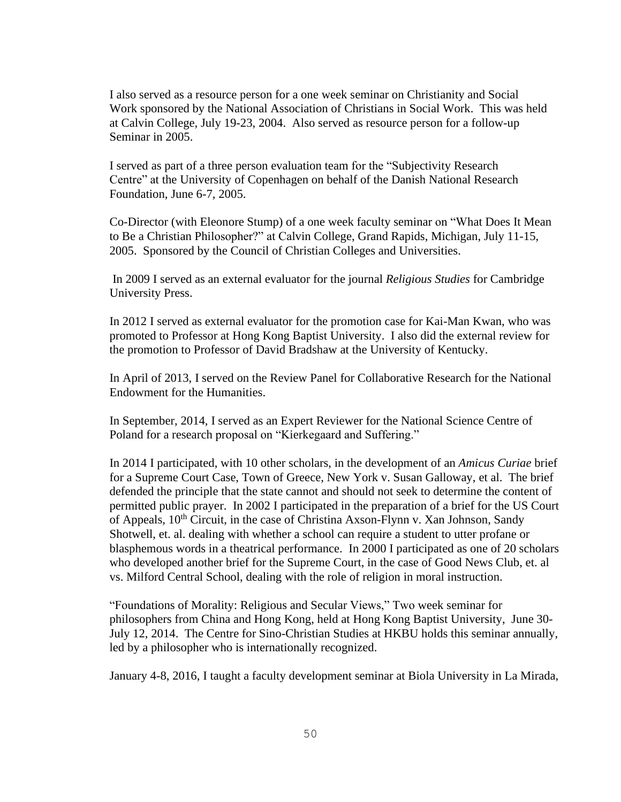I also served as a resource person for a one week seminar on Christianity and Social Work sponsored by the National Association of Christians in Social Work. This was held at Calvin College, July 19-23, 2004. Also served as resource person for a follow-up Seminar in 2005.

I served as part of a three person evaluation team for the "Subjectivity Research Centre" at the University of Copenhagen on behalf of the Danish National Research Foundation, June 6-7, 2005.

Co-Director (with Eleonore Stump) of a one week faculty seminar on "What Does It Mean to Be a Christian Philosopher?" at Calvin College, Grand Rapids, Michigan, July 11-15, 2005. Sponsored by the Council of Christian Colleges and Universities.

In 2009 I served as an external evaluator for the journal *Religious Studies* for Cambridge University Press.

In 2012 I served as external evaluator for the promotion case for Kai-Man Kwan, who was promoted to Professor at Hong Kong Baptist University. I also did the external review for the promotion to Professor of David Bradshaw at the University of Kentucky.

In April of 2013, I served on the Review Panel for Collaborative Research for the National Endowment for the Humanities.

In September, 2014, I served as an Expert Reviewer for the National Science Centre of Poland for a research proposal on "Kierkegaard and Suffering."

In 2014 I participated, with 10 other scholars, in the development of an *Amicus Curiae* brief for a Supreme Court Case, Town of Greece, New York v. Susan Galloway, et al. The brief defended the principle that the state cannot and should not seek to determine the content of permitted public prayer. In 2002 I participated in the preparation of a brief for the US Court of Appeals, 10<sup>th</sup> Circuit, in the case of Christina Axson-Flynn v. Xan Johnson, Sandy Shotwell, et. al. dealing with whether a school can require a student to utter profane or blasphemous words in a theatrical performance. In 2000 I participated as one of 20 scholars who developed another brief for the Supreme Court, in the case of Good News Club, et. al vs. Milford Central School, dealing with the role of religion in moral instruction.

"Foundations of Morality: Religious and Secular Views," Two week seminar for philosophers from China and Hong Kong, held at Hong Kong Baptist University, June 30- July 12, 2014. The Centre for Sino-Christian Studies at HKBU holds this seminar annually, led by a philosopher who is internationally recognized.

January 4-8, 2016, I taught a faculty development seminar at Biola University in La Mirada,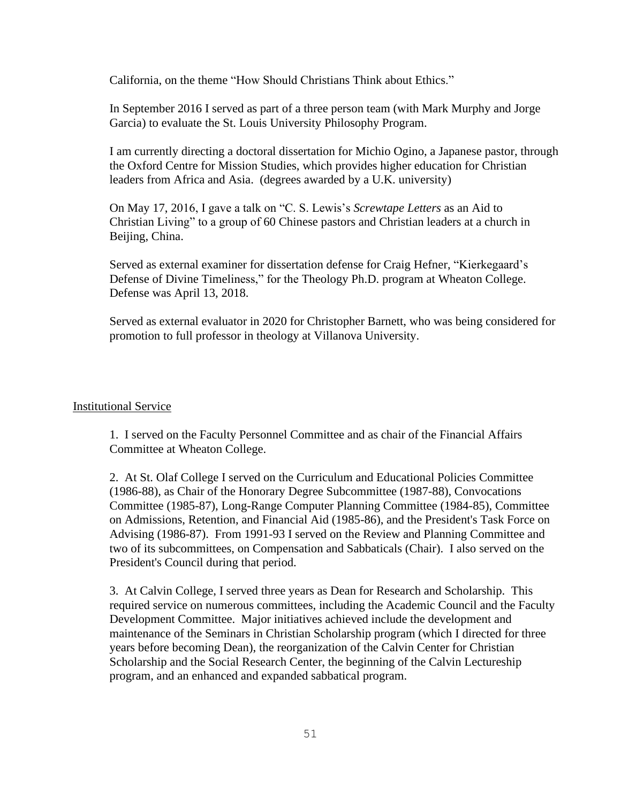California, on the theme "How Should Christians Think about Ethics."

In September 2016 I served as part of a three person team (with Mark Murphy and Jorge Garcia) to evaluate the St. Louis University Philosophy Program.

I am currently directing a doctoral dissertation for Michio Ogino, a Japanese pastor, through the Oxford Centre for Mission Studies, which provides higher education for Christian leaders from Africa and Asia. (degrees awarded by a U.K. university)

On May 17, 2016, I gave a talk on "C. S. Lewis's *Screwtape Letters* as an Aid to Christian Living" to a group of 60 Chinese pastors and Christian leaders at a church in Beijing, China.

Served as external examiner for dissertation defense for Craig Hefner, "Kierkegaard's Defense of Divine Timeliness," for the Theology Ph.D. program at Wheaton College. Defense was April 13, 2018.

Served as external evaluator in 2020 for Christopher Barnett, who was being considered for promotion to full professor in theology at Villanova University.

## Institutional Service

1. I served on the Faculty Personnel Committee and as chair of the Financial Affairs Committee at Wheaton College.

2. At St. Olaf College I served on the Curriculum and Educational Policies Committee (1986-88), as Chair of the Honorary Degree Subcommittee (1987-88), Convocations Committee (1985-87), Long-Range Computer Planning Committee (1984-85), Committee on Admissions, Retention, and Financial Aid (1985-86), and the President's Task Force on Advising (1986-87). From 1991-93 I served on the Review and Planning Committee and two of its subcommittees, on Compensation and Sabbaticals (Chair). I also served on the President's Council during that period.

3. At Calvin College, I served three years as Dean for Research and Scholarship. This required service on numerous committees, including the Academic Council and the Faculty Development Committee. Major initiatives achieved include the development and maintenance of the Seminars in Christian Scholarship program (which I directed for three years before becoming Dean), the reorganization of the Calvin Center for Christian Scholarship and the Social Research Center, the beginning of the Calvin Lectureship program, and an enhanced and expanded sabbatical program.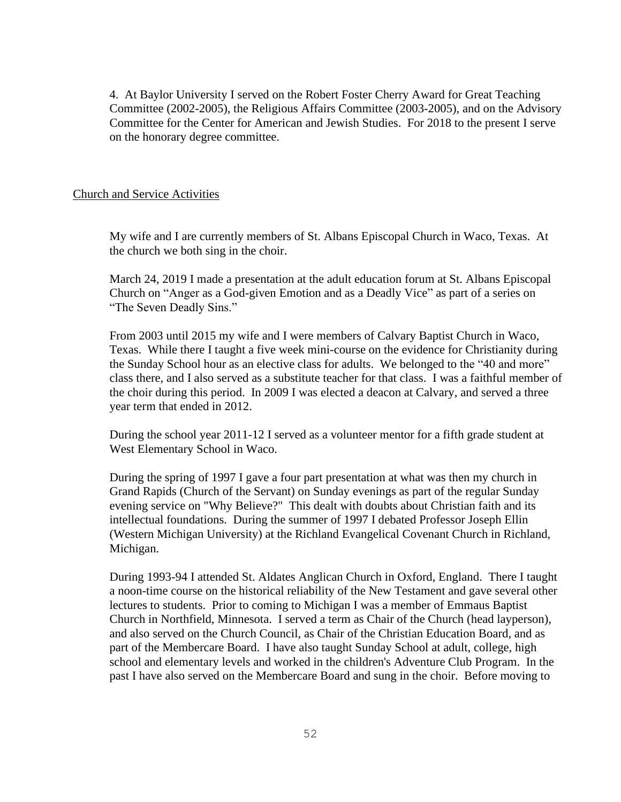4. At Baylor University I served on the Robert Foster Cherry Award for Great Teaching Committee (2002-2005), the Religious Affairs Committee (2003-2005), and on the Advisory Committee for the Center for American and Jewish Studies. For 2018 to the present I serve on the honorary degree committee.

## Church and Service Activities

My wife and I are currently members of St. Albans Episcopal Church in Waco, Texas. At the church we both sing in the choir.

March 24, 2019 I made a presentation at the adult education forum at St. Albans Episcopal Church on "Anger as a God-given Emotion and as a Deadly Vice" as part of a series on "The Seven Deadly Sins."

From 2003 until 2015 my wife and I were members of Calvary Baptist Church in Waco, Texas. While there I taught a five week mini-course on the evidence for Christianity during the Sunday School hour as an elective class for adults. We belonged to the "40 and more" class there, and I also served as a substitute teacher for that class. I was a faithful member of the choir during this period. In 2009 I was elected a deacon at Calvary, and served a three year term that ended in 2012.

During the school year 2011-12 I served as a volunteer mentor for a fifth grade student at West Elementary School in Waco.

During the spring of 1997 I gave a four part presentation at what was then my church in Grand Rapids (Church of the Servant) on Sunday evenings as part of the regular Sunday evening service on "Why Believe?" This dealt with doubts about Christian faith and its intellectual foundations. During the summer of 1997 I debated Professor Joseph Ellin (Western Michigan University) at the Richland Evangelical Covenant Church in Richland, Michigan.

During 1993-94 I attended St. Aldates Anglican Church in Oxford, England. There I taught a noon-time course on the historical reliability of the New Testament and gave several other lectures to students. Prior to coming to Michigan I was a member of Emmaus Baptist Church in Northfield, Minnesota. I served a term as Chair of the Church (head layperson), and also served on the Church Council, as Chair of the Christian Education Board, and as part of the Membercare Board. I have also taught Sunday School at adult, college, high school and elementary levels and worked in the children's Adventure Club Program. In the past I have also served on the Membercare Board and sung in the choir. Before moving to